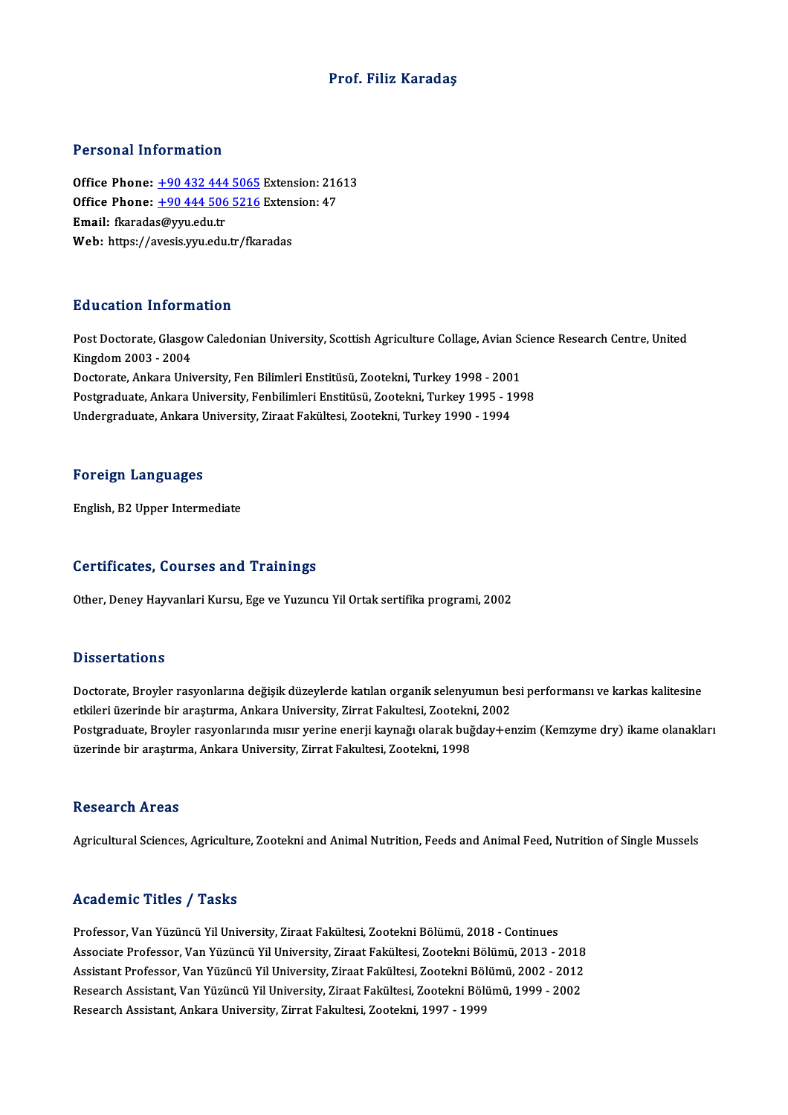### Prof. Filiz Karadaş

### Personal Information

Office Phone: +90 432 444 5065 Extension: 21613 TERESTAR INTERNATION<br>Office Phone: <u>+90 432 444 5065</u> Extension: 216<br>Office Phone: <u>+90 444 506 5216</u> Extension: 47 Office Phone: <u>+90 432 444</u><br>Office Phone: <u>+90 444 506</u><br>Email: fkarada[s@yyu.edu.tr](tel:+90 432 444 5065) Office Phone: <u>+90 444 506 5216</u> Exten:<br>Email: fkaradas@yyu.edu.tr<br>Web: https://a[vesis.yyu.edu.tr/fka](tel:+90 444 506 5216)radas Web: https://avesis.yyu.edu.tr/fkaradas<br>Education Information

**Education Information**<br>Post Doctorate, Glasgow Caledonian University, Scottish Agriculture Collage, Avian Science Research Centre, United<br>Kingdom 2003 - 2004 Matematical International<br>Post Doctorate, Glasgo<br>Kingdom 2003 - 2004<br>Postorate, Ankara Univ Post Doctorate, Glasgow Caledonian University, Scottish Agriculture Collage, Avian So<br>Kingdom 2003 - 2004<br>Doctorate, Ankara University, Fen Bilimleri Enstitüsü, Zootekni, Turkey 1998 - 2001<br>Postsraduate, Ankara University, Kingdom 2003 - 2004<br>Doctorate, Ankara University, Fen Bilimleri Enstitüsü, Zootekni, Turkey 1998 - 2001<br>Postgraduate, Ankara University, Fenbilimleri Enstitüsü, Zootekni, Turkey 1995 - 1998 Undergraduate, Ankara University, Ziraat Fakültesi, Zootekni, Turkey 1990 - 1994

#### Foreign Languages

English, B2 Upper Intermediate

#### Certificates, Courses and Trainings

Other, Deney Hayvanlari Kursu, Ege ve Yuzuncu Yil Ortak sertifika programi, 2002

#### **Dissertations**

Dissertations<br>Doctorate, Broyler rasyonlarına değişik düzeylerde katılan organik selenyumun besi performansı ve karkas kalitesine<br>Strilari üzerinde bir arastırma, Ankara University, Zirrat Fakultesi, Zeatalmi, 2002. e isseer carrems<br>Doctorate, Broyler rasyonlarına değişik düzeylerde katılan organik selenyumun be<br>etkileri üzerinde bir araştırma, Ankara University, Zirrat Fakultesi, Zootekni, 2002<br>Postanaduata, Broylan resyonlarında mıs Doctorate, Broyler rasyonlarına değişik düzeylerde katılan organik selenyumun besi performansı ve karkas kalitesine<br>etkileri üzerinde bir araştırma, Ankara University, Zirrat Fakultesi, Zootekni, 2002<br>Postgraduate, Broyler etkileri üzerinde bir araştırma, Ankara University, Zirrat Fakultesi, Zootekn<br>Postgraduate, Broyler rasyonlarında mısır yerine enerji kaynağı olarak buğ<br>üzerinde bir araştırma, Ankara University, Zirrat Fakultesi, Zootekni üzerinde bir araştırma, Ankara University, Zirrat Fakultesi, Zootekni, 1998<br>Research Areas

Agricultural Sciences, Agriculture, Zootekni and Animal Nutrition, Feeds and Animal Feed, Nutrition of Single Mussels

#### Academic Titles / Tasks

Professor, Van Yüzüncü Yil University, Ziraat Fakültesi, Zootekni Bölümü, 2018 - Continues Associate Articus 7 - 1 duks<br>Professor, Van Yüzüncü Yil University, Ziraat Fakültesi, Zootekni Bölümü, 2018 - Continues<br>Associate Professor, Van Yüzüncü Yil University, Ziraat Fakültesi, Zootekni Bölümü, 2003 - 2018<br>Assist Professor, Van Yüzüncü Yil University, Ziraat Fakültesi, Zootekni Bölümü, 2018 - Continues<br>Associate Professor, Van Yüzüncü Yil University, Ziraat Fakültesi, Zootekni Bölümü, 2013 - 2018<br>Assistant Professor, Van Yüzüncü Yi Associate Professor, Van Yüzüncü Yil University, Ziraat Fakültesi, Zootekni Bölümü, 2013 - 2018<br>Assistant Professor, Van Yüzüncü Yil University, Ziraat Fakültesi, Zootekni Bölümü, 2002 - 2012<br>Research Assistant, Van Yüzünc Assistant Professor, Van Yüzüncü Yil University, Ziraat Fakültesi, Zootekni Bölü<br>Research Assistant, Van Yüzüncü Yil University, Ziraat Fakültesi, Zootekni Bölü<br>Research Assistant, Ankara University, Zirrat Fakultesi, Zoot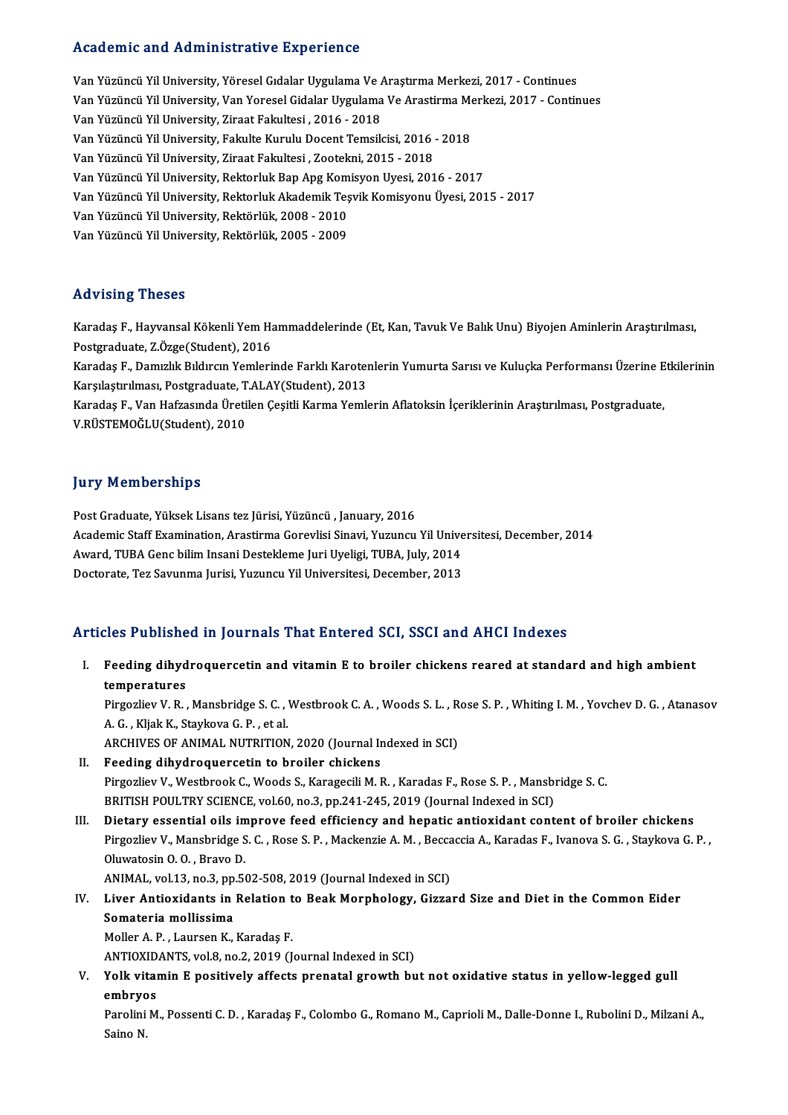## Academic and Administrative Experience

Van Yüzüncü Yil University, Yöresel Gıdalar Uygulama Ve Araştırma Merkezi, 2017 - Continues Van Yüzüncü Yil University, Yöresel Gıdalar Uygulama Ve Araştırma Merkezi, 2017 - Continues<br>Van Yüzüncü Yil University, Yöresel Gıdalar Uygulama Ve Araştırma Merkezi, 2017 - Continues<br>Van Yüzüncü Yil University, Zirast Fel Van Yüzüncü Yil University, Yöresel Gıdalar Uygulama Ve *I*<br>Van Yüzüncü Yil University, Van Yoresel Gidalar Uygulama<br>Van Yüzüncü Yil University, Ziraat Fakultesi , 2016 - 2018<br>Van Yüzüncü Yil University, Fakulte Kurulu Dos Van Yüzüncü Yil University, Van Yoresel Gidalar Uygulama Ve Arastirma Me<br>Van Yüzüncü Yil University, Ziraat Fakultesi , 2016 - 2018<br>Van Yüzüncü Yil University, Fakulte Kurulu Docent Temsilcisi, 2016 - 2018<br>Van Vüzüncü Vil Van Yüzüncü Yil University, Ziraat Fakultesi , 2016 - 2018<br>Van Yüzüncü Yil University, Fakulte Kurulu Docent Temsilcisi, 2016 -<br>Van Yüzüncü Yil University, Ziraat Fakultesi , Zootekni, 2015 - 2018<br>Van Yüzüncü Yil Universit Van Yüzüncü Yil University, Fakulte Kurulu Docent Temsilcisi, 2016 - 2018<br>Van Yüzüncü Yil University, Ziraat Fakultesi , Zootekni, 2015 - 2018<br>Van Yüzüncü Yil University, Rektorluk Bap Apg Komisyon Uyesi, 2016 - 2017<br>Van Y Van Yüzüncü Yil University, Ziraat Fakultesi , Zootekni, 2015 - 2018<br>Van Yüzüncü Yil University, Rektorluk Bap Apg Komisyon Uyesi, 2016 - 2017<br>Van Yüzüncü Yil University, Rektorluk Akademik Teşvik Komisyonu Üyesi, 2015 - 2 Van Yüzüncü Yil University, Rektorluk Bap Apg Kom<br>Van Yüzüncü Yil University, Rektorluk Akademik Teş<br>Van Yüzüncü Yil University, Rektörlük, 2008 - 2009<br>Van Vüzüncü Vil University, Bektörlük, 2005 - 2009 Van Yüzüncü Yil University, Rektorluk Akademik Teş<br>Van Yüzüncü Yil University, Rektörlük, 2008 - 2010<br>Van Yüzüncü Yil University, Rektörlük, 2005 - 2009 Van Yüzüncü Yil University, Rektörlük, 2005 - 2009<br>Advising Theses

Advising Theses<br>Karadaş F., Hayvansal Kökenli Yem Hammaddelerinde (Et, Kan, Tavuk Ve Balık Unu) Biyojen Aminlerin Araştırılması,<br>Restanaduata ZÖzge(Student), 2016 rra vising "rreses"<br>Karadaş F., Hayvansal Kökenli Yem Ha<br>Postgraduate, Z.Özge(Student), 2016<br>Karadaş F., Demirlik Bildinein Yemleri Karadaş F., Hayvansal Kökenli Yem Hammaddelerinde (Et, Kan, Tavuk Ve Balık Unu) Biyojen Aminlerin Araştırılması,<br>Postgraduate, Z.Özge(Student), 2016<br>Karadaş F., Damızlık Bıldırcın Yemlerinde Farklı Karotenlerin Yumurta Sar

Postgraduate, Z.Özge(Student), 2016<br>Karadaş F., Damızlık Bıldırcın Yemlerinde Farklı Karoteı<br>Karşılaştırılması, Postgraduate, T.ALAY(Student), 2013<br>Karadas F. Van Hafzasında Üretilen Cesitli Karma Yemle Karadaş F., Damızlık Bıldırcın Yemlerinde Farklı Karotenlerin Yumurta Sarısı ve Kuluçka Performansı Üzerine E<br>Karşılaştırılması, Postgraduate, T.ALAY(Student), 2013<br>Karadaş F., Van Hafzasında Üretilen Çeşitli Karma Yemleri

Karşılaştırılması, Postgraduate, T.ALAY(Student), 2013<br>Karadaş F., Van Hafzasında Üretilen Çeşitli Karma Yemlerin Aflatoksin İçeriklerinin Araştırılması, Postgraduate,<br>V.RÜSTEMOĞLU(Student), 2010

### **Jury Memberships**

PostGraduate,YüksekLisans tez Jürisi,Yüzüncü , January,2016 Jary Tremberempe<br>Post Graduate, Yüksek Lisans tez Jürisi, Yüzüncü , January, 2016<br>Academic Staff Examination, Arastirma Gorevlisi Sinavi, Yuzuncu Yil Universitesi, December, 2014<br>August TUPA Cana bilim Insani Destaklama Ju Post Graduate, Yüksek Lisans tez Jürisi, Yüzüncü , January, 2016<br>Academic Staff Examination, Arastirma Gorevlisi Sinavi, Yuzuncu Yil Unive<br>Award, TUBA Genc bilim Insani Destekleme Juri Uyeligi, TUBA, July, 2014<br>Desterate T Academic Staff Examination, Arastirma Gorevlisi Sinavi, Yuzuncu Yil Unive<br>Award, TUBA Genc bilim Insani Destekleme Juri Uyeligi, TUBA, July, 2014<br>Doctorate, Tez Savunma Jurisi, Yuzuncu Yil Universitesi, December, 2013

# Doctorate, Tez Savunma Jurisi, Yuzuncu Yil Universitesi, December, 2013<br>Articles Published in Journals That Entered SCI, SSCI and AHCI Indexes

rticles Published in Journals That Entered SCI, SSCI and AHCI Indexes<br>I. Feeding dihydroquercetin and vitamin E to broiler chickens reared at standard and high ambient<br>temperatures res 1 assisted<br>Feeding dihyd<br>Eirosaliev V. P Feeding dihydroquercetin and vitamin E to broiler chickens reared at standard and high ambient<br>temperatures<br>Pirgozliev V. R. , Mansbridge S. C. , Westbrook C. A. , Woods S. L. , Rose S. P. , Whiting I. M. , Yovchev D. G. ,

**temperatures<br>Pirgozliev V. R. , Mansbridge S. C. , 1<br>A. G. , Kljak K., Staykova G. P. , et al.<br>ARCHIVES OF ANIMAL NUTRUTION** Pirgozliev V. R. , Mansbridge S. C. , Westbrook C. A. , Woods S. L. , R<br>A. G. , Kljak K., Staykova G. P. , et al.<br>ARCHIVES OF ANIMAL NUTRITION, 2020 (Journal Indexed in SCI)<br>Feoding dibydrogueraatin to broiler sbiskops A. G. , Kljak K., Staykova G. P. , et al.<br>ARCHIVES OF ANIMAL NUTRITION, 2020 (Journal Indexed in SCI)<br>II. Feeding dihydroquercetin to broiler chickens

- ARCHIVES OF ANIMAL NUTRITION, 2020 (Journal Indexed in SCI)<br>Feeding dihydroquercetin to broiler chickens<br>Pirgozliev V., Westbrook C., Woods S., Karagecili M. R. , Karadas F., Rose S. P. , Mansbridge S. C.<br>PRITISH DOULTRY S Feeding dihydroquercetin to broiler chickens<br>Pirgozliev V., Westbrook C., Woods S., Karagecili M. R. , Karadas F., Rose S. P. , Mansbi<br>BRITISH POULTRY SCIENCE, vol.60, no.3, pp.241-245, 2019 (Journal Indexed in SCI)<br>Distan
- BRITISH POULTRY SCIENCE, vol.60, no.3, pp.241-245, 2019 (Journal Indexed in SCI)<br>III. Dietary essential oils improve feed efficiency and hepatic antioxidant content of broiler chickens BRITISH POULTRY SCIENCE, vol.60, no.3, pp.241-245, 2019 (Journal Indexed in SCI)<br>Dietary essential oils improve feed efficiency and hepatic antioxidant content of broiler chickens<br>Pirgozliev V., Mansbridge S. C. , Rose S. Dietary essential oils im<br>Pirgozliev V., Mansbridge S<br>Oluwatosin O. O. , Bravo D.<br>ANIMAL vel 13 no 3 nn E Pirgozliev V., Mansbridge S. C. , Rose S. P. , Mackenzie A. M. , Becca<br>Oluwatosin O. O. , Bravo D.<br>ANIMAL, vol.13, no.3, pp.502-508, 2019 (Journal Indexed in SCI)<br>Liver Antioxidents in Belation to Beak Mornhology, Gigge

Oluwatosin O. O. , Bravo D.<br>ANIMAL, vol.13, no.3, pp.502-508, 2019 (Journal Indexed in SCI)<br>IV. Liver Antioxidants in Relation to Beak Morphology, Gizzard Size and Diet in the Common Eider<br>Semateria mellissime ANIMAL, vol.13, no.3, pp.502-508, 2019 (Journal Indexed in SCI)<br>Liver Antioxidants in Relation to Beak Morphology, Gizza<br>Somateria mollissima<br>Moller A. P., Laursen K., Karadas F. Liver Antioxidants in Relation t<br>Somateria mollissima<br>Moller A. P. , Laursen K., Karadaş F.<br>ANTIOYIDANTS vol 9, no 2, 2010 (L Somateria mollissima<br>Moller A. P. , Laursen K., Karadaş F.<br>ANTIOXIDANTS, vol.8, no.2, 2019 (Journal Indexed in SCI)<br>Yolk vitamin E nositively affects prenatal srewth bu

Moller A. P. , Laursen K., Karadaş F.<br>ANTIOXIDANTS, vol.8, no.2, 2019 (Journal Indexed in SCI)<br>V. Yolk vitamin E positively affects prenatal growth but not oxidative status in yellow-legged gull<br>ombryes ANTIOXID<br>Yolk vital<br>embryos<br><sup>Parolini M</sup> Yolk vitamin E positively affects prenatal growth but not oxidative status in yellow-legged gull<br>embryos<br>Parolini M., Possenti C. D. , Karadaş F., Colombo G., Romano M., Caprioli M., Dalle-Donne I., Rubolini D., Milzani A.

embryos<br>Parolini M., Possenti C. D. , Karadaş F., Colombo G., Romano M., Caprioli M., Dalle-Donne I., Rubolini D., Milzani A.,<br>Saino N.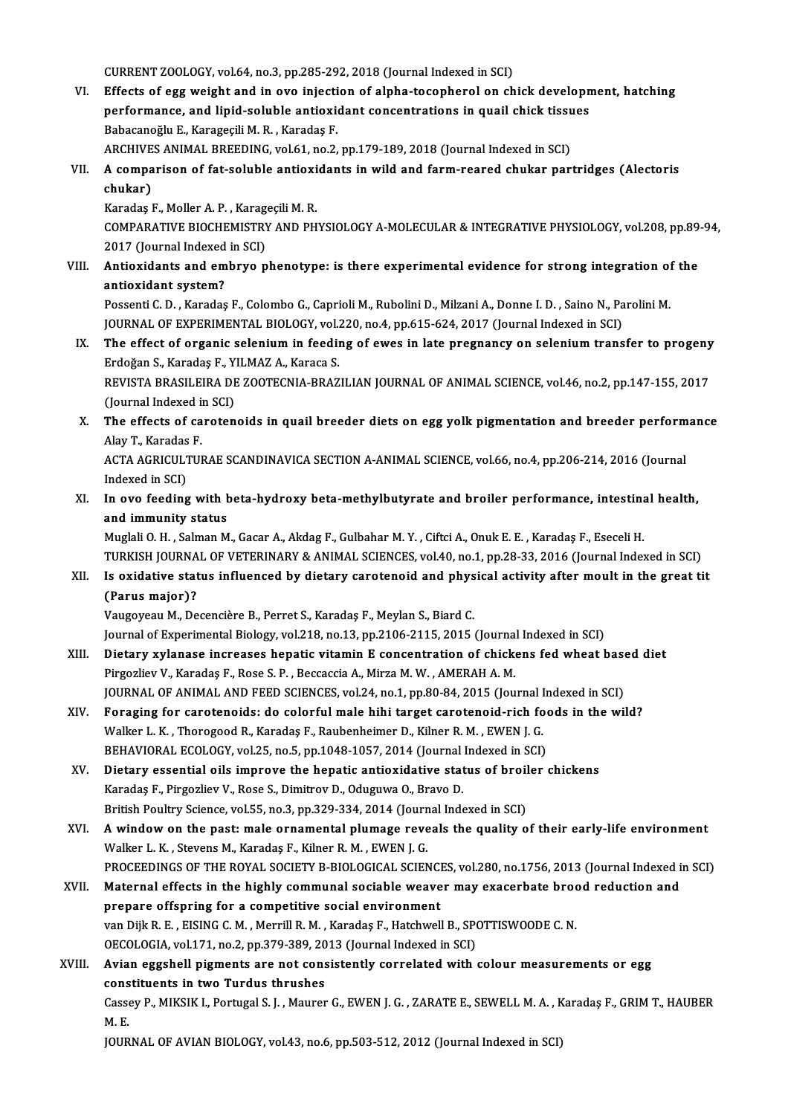CURRENT ZOOLOGY, vol.64, no.3, pp.285-292, 2018 (Journal Indexed in SCI)

CURRENT ZOOLOGY, vol.64, no.3, pp.285-292, 2018 (Journal Indexed in SCI)<br>VI. Effects of egg weight and in ovo injection of alpha-tocopherol on chick development, hatching<br>norformange and linid soluble entiquidant concentra CURRENT ZOOLOGY, vol.64, no.3, pp.285-292, 2018 (Journal Indexed in SCI)<br>Effects of egg weight and in ovo injection of alpha-tocopherol on chick developn<br>performance, and lipid-soluble antioxidant concentrations in quail c Effects of egg weight and in ovo injecti<br>performance, and lipid-soluble antioxid<br>Babacanoğlu E., Karageçili M.R., Karadaş F.<br>ARCHIVES ANIMAL PREEDING vel 61 no ? performance, and lipid-soluble antioxidant concentrations in quail chick tissu<br>Babacanoğlu E., Karageçili M. R. , Karadaş F.<br>ARCHIVES ANIMAL BREEDING, vol.61, no.2, pp.179-189, 2018 (Journal Indexed in SCI)<br>A semnarisan of Babacanoğlu E., Karageçili M. R. , Karadaş F.<br>ARCHIVES ANIMAL BREEDING, vol.61, no.2, pp.179-189, 2018 (Journal Indexed in SCI)<br>VII. A comparison of fat-soluble antioxidants in wild and farm-reared chukar partridges (A

ARCHIVE<br>A compa<br>chukar)<br>Karadas l A comparison of fat-soluble antioxi<br>chukar)<br>Karadaş F., Moller A. P. , Karageçili M. R.<br>COMBARATIVE PIOCHEMISTRY AND BH

chukar)<br>Karadaş F., Moller A. P. , Karageçili M. R.<br>COMPARATIVE BIOCHEMISTRY AND PHYSIOLOGY A-MOLECULAR & INTEGRATIVE PHYSIOLOGY, vol.208, pp.89-94,<br>2017 (Jaurnal Indoxed in SCI) Karadaş F., Moller A. P. , Karag<br>COMPARATIVE BIOCHEMISTR)<br>2017 (Journal Indexed in SCI)<br>Antioxidants and ambrus n COMPARATIVE BIOCHEMISTRY AND PHYSIOLOGY A-MOLECULAR & INTEGRATIVE PHYSIOLOGY, vol.208, pp.89–<br>2017 (Journal Indexed in SCI)<br>VIII. Antioxidants and embryo phenotype: is there experimental evidence for strong integration of

2017 (Journal Indexed<br>Antioxidants and em<br>antioxidant system?<br>Pessenti C.D. Karadas Antioxidants and embryo phenotype: is there experimental evidence for strong integration of<br>antioxidant system?<br>Possenti C. D. , Karadaş F., Colombo G., Caprioli M., Rubolini D., Milzani A., Donne I. D. , Saino N., Parolin

antioxidant system?<br>Possenti C. D. , Karadaş F., Colombo G., Caprioli M., Rubolini D., Milzani A., Donne I. D. , Saino N., Pa<br>JOURNAL OF EXPERIMENTAL BIOLOGY, vol.220, no.4, pp.615-624, 2017 (Journal Indexed in SCI)<br>The ef Possenti C. D. , Karadaş F., Colombo G., Caprioli M., Rubolini D., Milzani A., Donne I. D. , Saino N., Parolini M.<br>JOURNAL OF EXPERIMENTAL BIOLOGY, vol.220, no.4, pp.615-624, 2017 (Journal Indexed in SCI)<br>IX. The effect of

- JOURNAL OF EXPERIMENTAL BIOLOGY, vol.<br>The effect of organic selenium in feedin<br>Erdoğan S., Karadaş F., YILMAZ A., Karaca S.<br>REVISTA PRASILEIRA DE ZOOTECNIA PRAZ The effect of organic selenium in feeding of ewes in late pregnancy on selenium transfer to progeny<br>Erdoğan S., Karadaş F., YILMAZ A., Karaca S.<br>REVISTA BRASILEIRA DE ZOOTECNIA-BRAZILIAN JOURNAL OF ANIMAL SCIENCE, vol.46, Erdoğan S., Karadaş F., YILMAZ A., Karaca S.<br>REVISTA BRASILEIRA DE ZOOTECNIA-BRAZILIAN JOURNAL OF ANIMAL SCIENCE, vol.46, no.2, pp.147-155, 2017<br>(Journal Indexed in SCI)
- REVISTA BRASILEIRA DE ZOOTECNIA-BRAZILIAN JOURNAL OF ANIMAL SCIENCE, vol.46, no.2, pp.147-155, 2017<br>(Journal Indexed in SCI)<br>X. The effects of carotenoids in quail breeder diets on egg yolk pigmentation and breeder perform (Journal Indexed in<br>The effects of ca<br>Alay T., Karadas F.<br>ACTA ACRICULTUL The effects of carotenoids in quail breeder diets on egg yolk pigmentation and breeder perform<br>Alay T., Karadas F.<br>ACTA AGRICULTURAE SCANDINAVICA SECTION A-ANIMAL SCIENCE, vol.66, no.4, pp.206-214, 2016 (Journal<br>Indexed in

Alay T., Karadas F.<br>ACTA AGRICULTURAE SCANDINAVICA SECTION A-ANIMAL SCIENCE, vol.66, no.4, pp.206-214, 2016 (Journal<br>Indexed in SCI) ACTA AGRICULTURAE SCANDINAVICA SECTION A-ANIMAL SCIENCE, vol.66, no.4, pp.206-214, 2016 (Journal<br>Indexed in SCI)<br>XI. In ovo feeding with beta-hydroxy beta-methylbutyrate and broiler performance, intestinal health,<br>and immu

Indexed in SCI)<br>In ovo feeding with t<br>and immunity status<br>Muglali O. H., Salman M In ovo feeding with beta-hydroxy beta-methylbutyrate and broiler performance, intestina<br>and immunity status<br>Muglali O. H. , Salman M., Gacar A., Akdag F., Gulbahar M. Y. , Ciftci A., Onuk E. E. , Karadaş F., Eseceli H.<br>TUR

and immunity status<br>Muglali O. H. , Salman M., Gacar A., Akdag F., Gulbahar M. Y. , Ciftci A., Onuk E. E. , Karadaş F., Eseceli H.<br>TURKISH JOURNAL OF VETERINARY & ANIMAL SCIENCES, vol.40, no.1, pp.28-33, 2016 (Journal Inde Muglali O. H. , Salman M., Gacar A., Akdag F., Gulbahar M. Y. , Ciftci A., Onuk E. E. , Karadaş F., Eseceli H.<br>TURKISH JOURNAL OF VETERINARY & ANIMAL SCIENCES, vol.40, no.1, pp.28-33, 2016 (Journal Indexed in SCI)<br>XII. Is

# TURKISH JOURNA<br>Is oxidative stat<br>(Parus major)?<br>Vougovoov M. Do

Vaugoyeau M., Decencière B., Perret S., Karadaş F., Meylan S., Biard C.

Journal of Experimental Biology, vol.218, no.13, pp.2106-2115, 2015 (Journal Indexed in SCI)

- XIII. Dietary xylanase increases hepatic vitamin E concentration of chickens fed wheat based diet Pirgozliev V., Karadaş F., Rose S. P., Beccaccia A., Mirza M. W., AMERAH A. M. Dietary xylanase increases hepatic vitamin E concentration of chickens fed wheat base<br>Pirgozliev V., Karadaş F., Rose S. P. , Beccaccia A., Mirza M. W. , AMERAH A. M.<br>JOURNAL OF ANIMAL AND FEED SCIENCES, vol.24, no.1, pp.8 Pirgozliev V., Karadaş F., Rose S. P., Beccaccia A., Mirza M. W., AMERAH A. M.<br>JOURNAL OF ANIMAL AND FEED SCIENCES, vol.24, no.1, pp.80-84, 2015 (Journal Indexed in SCI)<br>XIV. Foraging for carotenoids: do colorful male hihi
- JOURNAL OF ANIMAL AND FEED SCIENCES, vol.24, no.1, pp.80-84, 2015 (Journal I<br>Foraging for carotenoids: do colorful male hihi target carotenoid-rich fo<br>Walker L. K. , Thorogood R., Karadaş F., Raubenheimer D., Kilner R. M. XIV. Foraging for carotenoids: do colorful male hihi target carotenoid-rich foods in the wild?<br>Walker L. K., Thorogood R., Karadaş F., Raubenheimer D., Kilner R. M., EWEN J. G.<br>BEHAVIORAL ECOLOGY, vol.25, no.5, pp.1048-105 Walker L. K., Thorogood R., Karadaş F., Raubenheimer D., Kilner R. M., EWEN J. G.<br>BEHAVIORAL ECOLOGY, vol.25, no.5, pp.1048-1057, 2014 (Journal Indexed in SCI)<br>XV. Dietary essential oils improve the hepatic antioxidative s
- Karadaş F., Pirgozliev V., Rose S., Dimitrov D., Oduguwa O., Bravo D.<br>British Poultry Science, vol.55, no.3, pp.329-334, 2014 (Journal Indexed in SCI) Dietary essential oils improve the hepatic antioxidative status of broil<br>Karadaş F., Pirgozliev V., Rose S., Dimitrov D., Oduguwa O., Bravo D.<br>British Poultry Science, vol.55, no.3, pp.329-334, 2014 (Journal Indexed in SCI
- XVI. A window on the past: male ornamental plumage reveals the quality of their early-life environment Walker L.K., Stevens M., Karadaş F., Kilner R.M., EWEN J.G. PROCEEDINGS OF THE ROYAL SOCIETY B-BIOLOGICAL SCIENCES, vol.280, no.1756, 2013 (Journal Indexed in SCI) Walker L. K., Stevens M., Karadaş F., Kilner R. M., EWEN J. G.<br>PROCEEDINGS OF THE ROYAL SOCIETY B-BIOLOGICAL SCIENCES, vol.280, no.1756, 2013 (Journal Indexed in<br>XVII. Maternal effects in the highly communal sociable weave
- PROCEEDINGS OF THE ROYAL SOCIETY B-BIOLOGICAL SCIENCI<br>Maternal effects in the highly communal sociable weave<br>prepare offspring for a competitive social environment<br>van Dill B E EISING G M Morrill B M Karadas E Hata Maternal effects in the highly communal sociable weaver may exacerbate broor<br>prepare offspring for a competitive social environment<br>van Dijk R. E. , EISING C. M. , Merrill R. M. , Karadaş F., Hatchwell B., SPOTTISWOODE C. prepare offspring for a competitive social environment<br>van Dijk R. E., EISING C. M., Merrill R. M., Karadaş F., Hatchwell B., SPOTTISWOODE C. N. OECOLOGIA, vol.171, no.2, pp.379-389, 2013 (Journal Indexed in SCI)
- XVIII. Avian eggshell pigments are not consistently correlated with colour measurements or egg<br>constituents in two Turdus thrushes Avian eggshell pigments are not consistently correlated with colour measurements or egg<br>constituents in two Turdus thrushes<br>Cassey P., MIKSIK I., Portugal S. J. , Maurer G., EWEN J. G. , ZARATE E., SEWELL M. A. , Karadaş F

cons<br>Casse<br>M. E.<br>IOUP M. E.<br>JOURNAL OF AVIAN BIOLOGY, vol.43, no.6, pp.503-512, 2012 (Journal Indexed in SCI)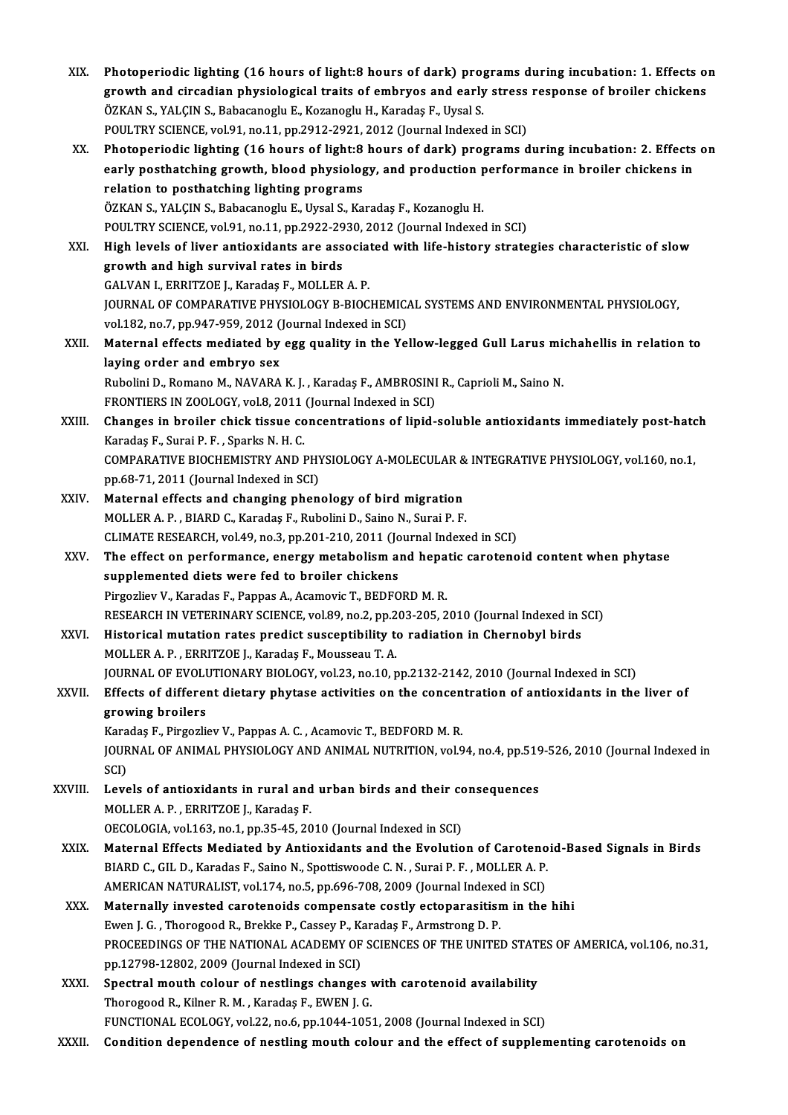| XIX.    | Photoperiodic lighting (16 hours of light:8 hours of dark) programs during incubation: 1. Effects on<br>growth and circadian physiological traits of embryos and early stress response of broiler chickens<br>ÖZKAN S., YALÇIN S., Babacanoglu E., Kozanoglu H., Karadaş F., Uysal S.<br>POULTRY SCIENCE, vol.91, no.11, pp.2912-2921, 2012 (Journal Indexed in SCI) |
|---------|----------------------------------------------------------------------------------------------------------------------------------------------------------------------------------------------------------------------------------------------------------------------------------------------------------------------------------------------------------------------|
| XX.     | Photoperiodic lighting (16 hours of light:8 hours of dark) programs during incubation: 2. Effects on<br>early posthatching growth, blood physiology, and production performance in broiler chickens in<br>relation to posthatching lighting programs<br>ÖZKAN S., YALÇIN S., Babacanoglu E., Uysal S., Karadaş F., Kozanoglu H.                                      |
| XXI.    | POULTRY SCIENCE, vol 91, no.11, pp.2922-2930, 2012 (Journal Indexed in SCI)<br>High levels of liver antioxidants are associated with life-history strategies characteristic of slow<br>growth and high survival rates in birds                                                                                                                                       |
|         | GALVAN I., ERRITZOE J., Karadaş F., MOLLER A. P.<br>JOURNAL OF COMPARATIVE PHYSIOLOGY B-BIOCHEMICAL SYSTEMS AND ENVIRONMENTAL PHYSIOLOGY,<br>vol.182, no.7, pp.947-959, 2012 (Journal Indexed in SCI)                                                                                                                                                                |
| XXII.   | Maternal effects mediated by egg quality in the Yellow-legged Gull Larus michahellis in relation to<br>laying order and embryo sex                                                                                                                                                                                                                                   |
|         | Rubolini D., Romano M., NAVARA K. J., Karadaş F., AMBROSINI R., Caprioli M., Saino N.<br>FRONTIERS IN ZOOLOGY, vol.8, 2011 (Journal Indexed in SCI)                                                                                                                                                                                                                  |
| XXIII.  | Changes in broiler chick tissue concentrations of lipid-soluble antioxidants immediately post-hatch<br>Karadaş F., Surai P. F., Sparks N. H. C.<br>COMPARATIVE BIOCHEMISTRY AND PHYSIOLOGY A-MOLECULAR & INTEGRATIVE PHYSIOLOGY, vol.160, no.1,                                                                                                                      |
| XXIV.   | pp.68-71, 2011 (Journal Indexed in SCI)<br>Maternal effects and changing phenology of bird migration<br>MOLLER A. P., BIARD C., Karadaş F., Rubolini D., Saino N., Surai P. F.                                                                                                                                                                                       |
| XXV.    | CLIMATE RESEARCH, vol.49, no.3, pp.201-210, 2011 (Journal Indexed in SCI)<br>The effect on performance, energy metabolism and hepatic carotenoid content when phytase                                                                                                                                                                                                |
|         | supplemented diets were fed to broiler chickens<br>Pirgozliev V., Karadas F., Pappas A., Acamovic T., BEDFORD M.R.                                                                                                                                                                                                                                                   |
| XXVI.   | RESEARCH IN VETERINARY SCIENCE, vol.89, no.2, pp.203-205, 2010 (Journal Indexed in SCI)<br>Historical mutation rates predict susceptibility to radiation in Chernobyl birds<br>MOLLER A. P., ERRITZOE J., Karadaş F., Mousseau T. A.                                                                                                                                 |
| XXVII.  | JOURNAL OF EVOLUTIONARY BIOLOGY, vol.23, no.10, pp.2132-2142, 2010 (Journal Indexed in SCI)<br>Effects of different dietary phytase activities on the concentration of antioxidants in the liver of<br>growing broilers                                                                                                                                              |
|         | Karadaş F., Pirgozliev V., Pappas A. C., Acamovic T., BEDFORD M. R.<br>JOURNAL OF ANIMAL PHYSIOLOGY AND ANIMAL NUTRITION, vol.94, no.4, pp.519-526, 2010 (Journal Indexed in<br>SCI)                                                                                                                                                                                 |
| XXVIII. | Levels of antioxidants in rural and urban birds and their consequences<br>MOLLER A. P., ERRITZOE J., Karadaş F.<br>OECOLOGIA, vol.163, no.1, pp.35-45, 2010 (Journal Indexed in SCI)                                                                                                                                                                                 |
| XXIX.   | Maternal Effects Mediated by Antioxidants and the Evolution of Carotenoid-Based Signals in Birds<br>BIARD C., GIL D., Karadas F., Saino N., Spottiswoode C. N., Surai P. F., MOLLER A. P.                                                                                                                                                                            |
| XXX.    | AMERICAN NATURALIST, vol.174, no.5, pp.696-708, 2009 (Journal Indexed in SCI)<br>Maternally invested carotenoids compensate costly ectoparasitism in the hihi<br>Ewen J. G., Thorogood R., Brekke P., Cassey P., Karadaş F., Armstrong D. P.<br>PROCEEDINGS OF THE NATIONAL ACADEMY OF SCIENCES OF THE UNITED STATES OF AMERICA, vol.106, no.31,                     |
| XXXI.   | pp.12798-12802, 2009 (Journal Indexed in SCI)<br>Spectral mouth colour of nestlings changes with carotenoid availability<br>Thorogood R., Kilner R. M., Karadaş F., EWEN J. G.                                                                                                                                                                                       |
| XXXII.  | FUNCTIONAL ECOLOGY, vol.22, no.6, pp.1044-1051, 2008 (Journal Indexed in SCI)<br>Condition dependence of nestling mouth colour and the effect of supplementing carotenoids on                                                                                                                                                                                        |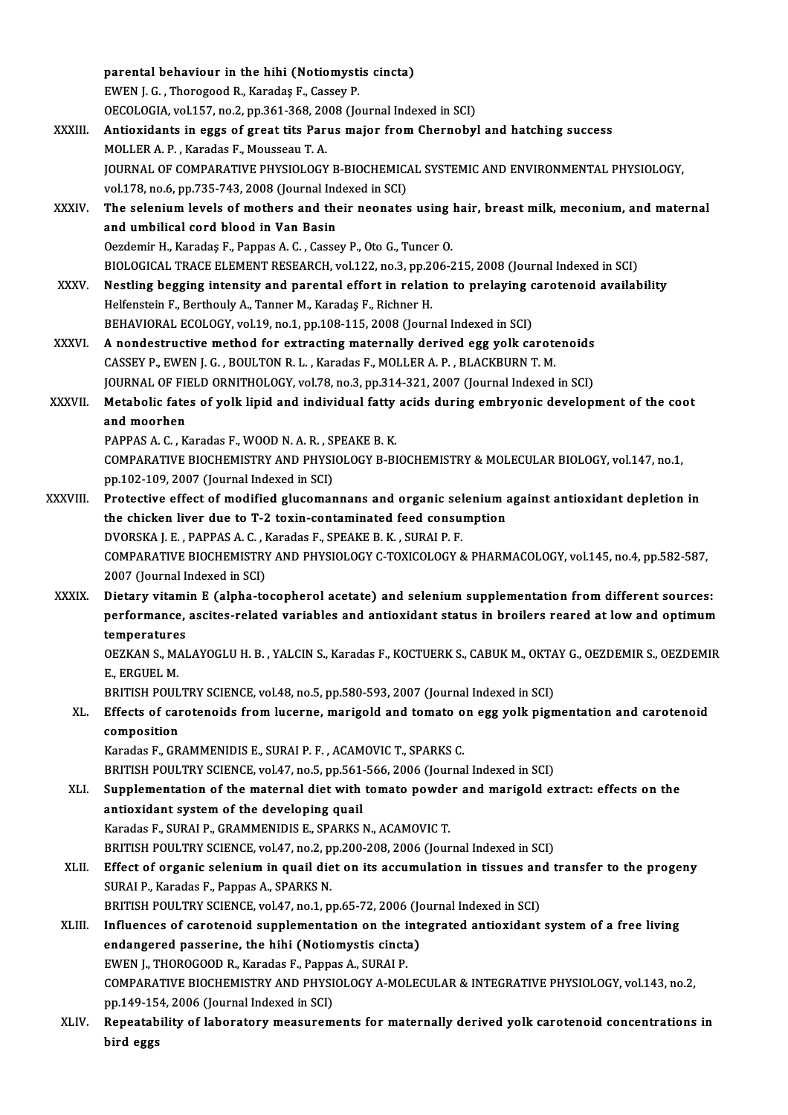|              | parental behaviour in the hihi (Notiomystis cincta)                                                                                                                              |
|--------------|----------------------------------------------------------------------------------------------------------------------------------------------------------------------------------|
|              | EWEN J. G., Thorogood R., Karadaş F., Cassey P.                                                                                                                                  |
|              | OECOLOGIA, vol.157, no.2, pp.361-368, 2008 (Journal Indexed in SCI)                                                                                                              |
| XXXIII.      | Antioxidants in eggs of great tits Parus major from Chernobyl and hatching success                                                                                               |
|              | MOLLER A. P., Karadas F., Mousseau T. A.                                                                                                                                         |
|              | JOURNAL OF COMPARATIVE PHYSIOLOGY B-BIOCHEMICAL SYSTEMIC AND ENVIRONMENTAL PHYSIOLOGY,                                                                                           |
|              | vol.178, no.6, pp.735-743, 2008 (Journal Indexed in SCI)                                                                                                                         |
| XXXIV.       | The selenium levels of mothers and their neonates using hair, breast milk, meconium, and maternal                                                                                |
|              | and umbilical cord blood in Van Basin                                                                                                                                            |
|              | Oezdemir H., Karadaş F., Pappas A. C., Cassey P., Oto G., Tuncer O.                                                                                                              |
|              | BIOLOGICAL TRACE ELEMENT RESEARCH, vol.122, no.3, pp.206-215, 2008 (Journal Indexed in SCI)                                                                                      |
| <b>XXXV</b>  | Nestling begging intensity and parental effort in relation to prelaying carotenoid availability                                                                                  |
|              | Helfenstein F., Berthouly A., Tanner M., Karadaş F., Richner H.                                                                                                                  |
|              | BEHAVIORAL ECOLOGY, vol.19, no.1, pp.108-115, 2008 (Journal Indexed in SCI)                                                                                                      |
| XXXVI.       | A nondestructive method for extracting maternally derived egg yolk carotenoids                                                                                                   |
|              | CASSEY P., EWEN J. G., BOULTON R. L., Karadas F., MOLLER A. P., BLACKBURN T. M.                                                                                                  |
|              | JOURNAL OF FIELD ORNITHOLOGY, vol.78, no.3, pp.314-321, 2007 (Journal Indexed in SCI)                                                                                            |
| XXXVII.      | Metabolic fates of yolk lipid and individual fatty acids during embryonic development of the coot                                                                                |
|              | and moorhen                                                                                                                                                                      |
|              | PAPPAS A. C., Karadas F., WOOD N. A. R., SPEAKE B. K.                                                                                                                            |
|              | COMPARATIVE BIOCHEMISTRY AND PHYSIOLOGY B-BIOCHEMISTRY & MOLECULAR BIOLOGY, vol.147, no.1,                                                                                       |
|              | pp.102-109, 2007 (Journal Indexed in SCI)                                                                                                                                        |
| XXXVIII.     | Protective effect of modified glucomannans and organic selenium against antioxidant depletion in                                                                                 |
|              | the chicken liver due to T-2 toxin-contaminated feed consumption                                                                                                                 |
|              | DVORSKA J. E., PAPPAS A. C., Karadas F., SPEAKE B. K., SURAI P. F.                                                                                                               |
|              | COMPARATIVE BIOCHEMISTRY AND PHYSIOLOGY C-TOXICOLOGY & PHARMACOLOGY, vol.145, no.4, pp.582-587,                                                                                  |
|              | 2007 (Journal Indexed in SCI)                                                                                                                                                    |
| <b>XXXIX</b> | Dietary vitamin E (alpha-tocopherol acetate) and selenium supplementation from different sources:                                                                                |
|              | performance, ascites-related variables and antioxidant status in broilers reared at low and optimum                                                                              |
|              | temperatures                                                                                                                                                                     |
|              | OEZKAN S., MALAYOGLU H. B., YALCIN S., Karadas F., KOCTUERK S., CABUK M., OKTAY G., OEZDEMIR S., OEZDEMIR                                                                        |
|              | E, ERGUEL M                                                                                                                                                                      |
|              | BRITISH POULTRY SCIENCE, vol.48, no.5, pp.580-593, 2007 (Journal Indexed in SCI)                                                                                                 |
| XL.          | Effects of carotenoids from lucerne, marigold and tomato on egg yolk pigmentation and carotenoid                                                                                 |
|              | composition                                                                                                                                                                      |
|              | Karadas F., GRAMMENIDIS E., SURAI P. F., ACAMOVIC T., SPARKS C.                                                                                                                  |
|              | BRITISH POULTRY SCIENCE, vol.47, no.5, pp.561-566, 2006 (Journal Indexed in SCI)                                                                                                 |
| XLI.         | Supplementation of the maternal diet with tomato powder and marigold extract: effects on the                                                                                     |
|              | antioxidant system of the developing quail                                                                                                                                       |
|              | Karadas F., SURAI P., GRAMMENIDIS E., SPARKS N., ACAMOVIC T.                                                                                                                     |
|              | BRITISH POULTRY SCIENCE, vol.47, no.2, pp.200-208, 2006 (Journal Indexed in SCI)                                                                                                 |
| XLII.        | Effect of organic selenium in quail diet on its accumulation in tissues and transfer to the progeny                                                                              |
|              | SURAI P., Karadas F., Pappas A., SPARKS N.                                                                                                                                       |
| XLIII.       | BRITISH POULTRY SCIENCE, vol.47, no.1, pp.65-72, 2006 (Journal Indexed in SCI)<br>Influences of carotenoid supplementation on the integrated antioxidant system of a free living |
|              | endangered passerine, the hihi (Notiomystis cincta)                                                                                                                              |
|              |                                                                                                                                                                                  |
|              | EWEN J., THOROGOOD R., Karadas F., Pappas A., SURAI P.<br>COMPARATIVE BIOCHEMISTRY AND PHYSIOLOGY A-MOLECULAR & INTEGRATIVE PHYSIOLOGY, vol.143, no.2,                           |
|              | pp.149-154, 2006 (Journal Indexed in SCI)                                                                                                                                        |
| XLIV.        | Repeatability of laboratory measurements for maternally derived yolk carotenoid concentrations in                                                                                |
|              | bird eggs                                                                                                                                                                        |
|              |                                                                                                                                                                                  |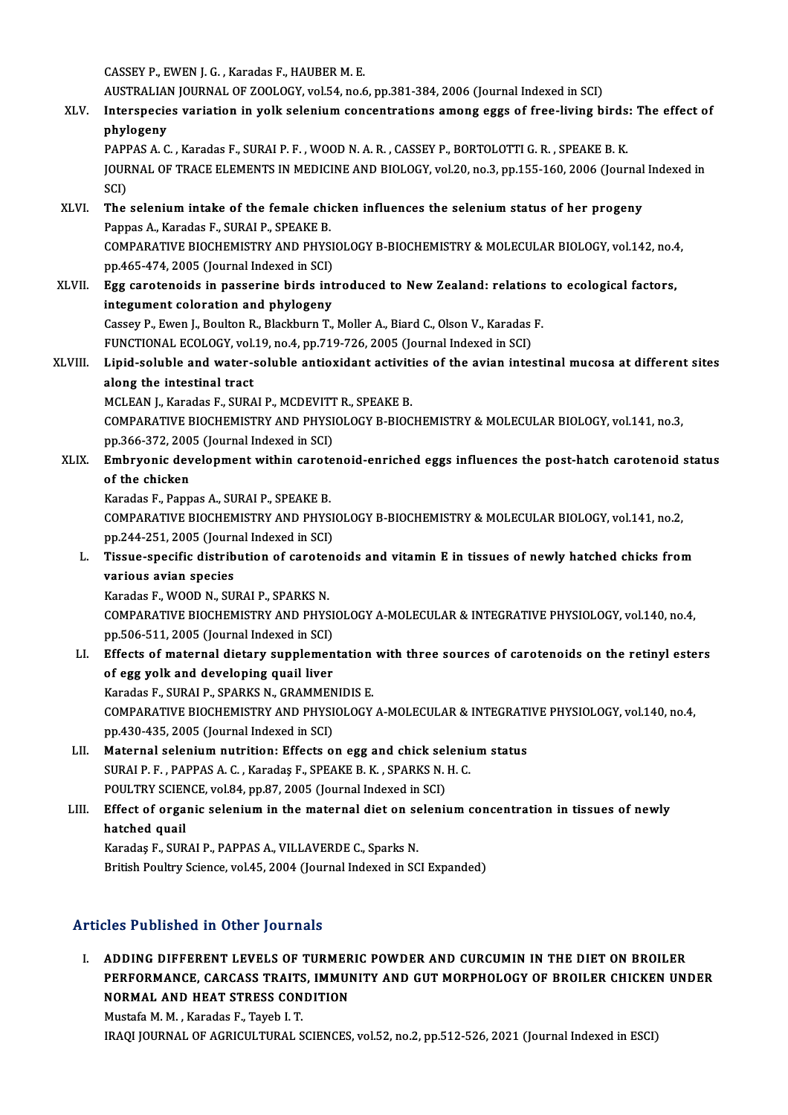CASSEYP.,EWENJ.G. ,Karadas F.,HAUBERM.E.

AUSTRALIAN JOURNAL OF ZOOLOGY, vol.54, no.6, pp.381-384, 2006 (Journal Indexed in SCI)

CASSEY P., EWEN J. G. , Karadas F., HAUBER M. E.<br>AUSTRALIAN JOURNAL OF ZOOLOGY, vol.54, no.6, pp.381-384, 2006 (Journal Indexed in SCI)<br>XLV. Interspecies variation in yolk selenium concentrations among eggs of free-liv AUSTRALIA<br>Interspecie<br>phylogeny<br>BABBAS A.C Interspecies variation in yolk selenium concentrations among eggs of free-living birds<br>phylogeny<br>PAPPAS A. C. , Karadas F., SURAI P. F. , WOOD N. A. R. , CASSEY P., BORTOLOTTI G. R. , SPEAKE B. K.<br>JOUPMAL OF TRACE ELEMENTS

phylogeny<br>PAPPAS A. C. , Karadas F., SURAI P. F. , WOOD N. A. R. , CASSEY P., BORTOLOTTI G. R. , SPEAKE B. K.<br>JOURNAL OF TRACE ELEMENTS IN MEDICINE AND BIOLOGY, vol.20, no.3, pp.155-160, 2006 (Journal Indexed in<br>SCD PAPI<br>JOUR<br>SCI)<br>The JOURNAL OF TRACE ELEMENTS IN MEDICINE AND BIOLOGY, vol.20, no.3, pp.155-160, 2006 (Journal<br>SCI)<br>XLVI. The selenium intake of the female chicken influences the selenium status of her progeny<br>Pannas A. Karadas E. SUPALE SPEA

- SCI)<br>The selenium intake of the female chicken influences the selenium status of her progeny<br>Pappas A., Karadas F., SURAI P., SPEAKE B. The selenium intake of the female chicken influences the selenium status of her progeny<br>Pappas A., Karadas F., SURAI P., SPEAKE B.<br>COMPARATIVE BIOCHEMISTRY AND PHYSIOLOGY B-BIOCHEMISTRY & MOLECULAR BIOLOGY, vol.142, no.4,<br> Pappas A., Karadas F., SURAI P., SPEAKE B.<br>COMPARATIVE BIOCHEMISTRY AND PHYSI<br>pp.465-474, 2005 (Journal Indexed in SCI)<br>Egg caratanaide in passarine birds int COMPARATIVE BIOCHEMISTRY AND PHYSIOLOGY B-BIOCHEMISTRY & MOLECULAR BIOLOGY, vol.142, no.4<br>pp.465-474, 2005 (Journal Indexed in SCI)<br>XLVII. Egg carotenoids in passerine birds introduced to New Zealand: relations to ecologic
- pp.465-474, 2005 (Journal Indexed in SCI)<br>XLVII. Egg carotenoids in passerine birds introduced to New Zealand: relations to ecological factors,<br>integument coloration and phylogeny Egg carotenoids in passerine birds introduced to New Zealand: relations<br>integument coloration and phylogeny<br>Cassey P., Ewen J., Boulton R., Blackburn T., Moller A., Biard C., Olson V., Karadas F.<br>EUNCTIONAL ECOLOCY vol.19 integument coloration and phylogeny<br>Cassey P., Ewen J., Boulton R., Blackburn T., Moller A., Biard C., Olson V., Karadas<br>FUNCTIONAL ECOLOGY, vol.19, no.4, pp.719-726, 2005 (Journal Indexed in SCI)<br>Linid soluble and water s

Cassey P., Ewen J., Boulton R., Blackburn T., Moller A., Biard C., Olson V., Karadas F.<br>FUNCTIONAL ECOLOGY, vol.19, no.4, pp.719-726, 2005 (Journal Indexed in SCI)<br>XLVIII. Lipid-soluble and water-soluble antioxidant activi FUNCTIONAL ECOLOGY, vol.19, no.4, pp.719-726, 2005 (Journal Indexed in SCI)<br>Lipid-soluble and water-soluble antioxidant activities of the avian inter<br>along the intestinal tract<br>MCLEAN I., Karadas F., SURAI P., MCDEVITT R., Lipid-soluble and water-soluble antioxidant activiti<br>along the intestinal tract<br>MCLEAN J., Karadas F., SURAI P., MCDEVITT R., SPEAKE B.<br>COMBARATIVE PIOCHEMISTRY AND PHYSIOLOGY P. PIOC

COMPARATIVE BIOCHEMISTRY AND PHYSIOLOGY B-BIOCHEMISTRY & MOLECULAR BIOLOGY, vol.141, no.3, MCLEAN J., Karadas F., SURAI P., MCDEVITT<br>COMPARATIVE BIOCHEMISTRY AND PHYSI<br>pp.366-372, 2005 (Journal Indexed in SCI)<br>Embauonis development within senate COMPARATIVE BIOCHEMISTRY AND PHYSIOLOGY B-BIOCHEMISTRY & MOLECULAR BIOLOGY, vol.141, no.3,<br>pp.366-372, 2005 (Journal Indexed in SCI)<br>XLIX. Embryonic development within carotenoid-enriched eggs influences the post-hatch car

pp.366-372, 200<br>Embryonic dev<br>of the chicken<br>Karadas E. Bann Embryonic development within carote<br>of the chicken<br>Karadas F., Pappas A., SURAI P., SPEAKE B.<br>COMBARATIVE PIOCHEMISTRY AND PHYS

of the chicken<br>Karadas F., Pappas A., SURAI P., SPEAKE B.<br>COMPARATIVE BIOCHEMISTRY AND PHYSIOLOGY B-BIOCHEMISTRY & MOLECULAR BIOLOGY, vol.141, no.2,<br>nn 344,351, 3005 (Journal Indoved in SCD. Karadas F., Pappas A., SURAI P., SPEAKE B.<br>COMPARATIVE BIOCHEMISTRY AND PHYSI<br>pp.244-251, 2005 (Journal Indexed in SCI)<br>Tissue aposifie distribution of sanatan COMPARATIVE BIOCHEMISTRY AND PHYSIOLOGY B-BIOCHEMISTRY & MOLECULAR BIOLOGY, vol.141, no.2,<br>pp.244-251, 2005 (Journal Indexed in SCI)<br>L. Tissue-specific distribution of carotenoids and vitamin E in tissues of newly hatched

- pp.244-251, 2005 (Journ<br>Tissue-specific distrib<br>various avian species<br>Karadas E. WOOD N. SU Tissue-specific distribution of caroter<br>various avian species<br>Karadas F., WOOD N., SURAI P., SPARKS N.<br>COMBARATIVE PIOCUEMISTRY AND BUYS
	-

various avian species<br>Karadas F., WOOD N., SURAI P., SPARKS N.<br>COMPARATIVE BIOCHEMISTRY AND PHYSIOLOGY A-MOLECULAR & INTEGRATIVE PHYSIOLOGY, vol.140, no.4,<br>np 506 511, 2005 (Journal Indoved in SCD Karadas F., WOOD N., SURAI P., SPARKS N.<br>COMPARATIVE BIOCHEMISTRY AND PHYSI<br>pp.506-511, 2005 (Journal Indexed in SCI)<br>Effects of maternal distany supplemen COMPARATIVE BIOCHEMISTRY AND PHYSIOLOGY A-MOLECULAR & INTEGRATIVE PHYSIOLOGY, vol.140, no.4,<br>pp.506-511, 2005 (Journal Indexed in SCI)<br>LI. Effects of maternal dietary supplementation with three sources of carotenoids on th

pp.506-511, 2005 (Journal Indexed in SCI)<br>Effects of maternal dietary supplemen<br>of egg yolk and developing quail liver<br>Kandes E. SUPALP, SPARKS N. CRAMMEN Effects of maternal dietary supplementation<br>of egg yolk and developing quail liver<br>Karadas F., SURAI P., SPARKS N., GRAMMENIDIS E.<br>COMBARATIVE PIOCHEMISTRY AND PHYSIOLOCY

of egg yolk and developing quail liver<br>Karadas F., SURAI P., SPARKS N., GRAMMENIDIS E.<br>COMPARATIVE BIOCHEMISTRY AND PHYSIOLOGY A-MOLECULAR & INTEGRATIVE PHYSIOLOGY, vol.140, no.4,<br>pp.430-435, 2005 (Journal Indexed in SCI) Karadas F., SURAI P., SPARKS N., GRAMMENIDIS E. COMPARATIVE BIOCHEMISTRY AND PHYSIOLOGY A-MOLECULAR & INTEGRATI<br>pp.430-435, 2005 (Journal Indexed in SCI)<br>LII. Maternal selenium nutrition: Effects on egg and chick selenium status<br>supALB E. RAPPAS A.C. Kanadas E. SPEAKE

pp.430-435, 2005 (Journal Indexed in SCI)<br>Maternal selenium nutrition: Effects on egg and chick seleniu<br>SURAI P. F. , PAPPAS A. C. , Karadaş F., SPEAKE B. K. , SPARKS N. H. C.<br>POULTPV SCIENCE vol 94, PP.97, 2005 (Journal I Maternal selenium nutrition: Effects on egg and chick sel<br>SURAI P. F. , PAPPAS A. C. , Karadaş F., SPEAKE B. K. , SPARKS N.<br>POULTRY SCIENCE, vol.84, pp.87, 2005 (Journal Indexed in SCI)<br>Effect of organis selenium in the ma

SURAI P. F. , PAPPAS A. C. , Karadaş F., SPEAKE B. K. , SPARKS N. H. C.<br>POULTRY SCIENCE, vol.84, pp.87, 2005 (Journal Indexed in SCI)<br>LIII. Effect of organic selenium in the maternal diet on selenium concentration in tissu POULTRY SCIEN<br>Effect of orga<br>hatched quail<br>Karadas E. SUP Karadaş F., SURAI P., PAPPAS A., VILLAVERDE C., Sparks N.

British Poultry Science, vol.45, 2004 (Journal Indexed in SCI Expanded)

# Articles Published in Other Journals

I. ADDING DIFFERENT LEVELS OF TURMERIC POWDER AND CURCUMIN IN THE DIET ON BROILER RES I ABHENEA IN OTHEI JOATHAND<br>ADDING DIFFERENT LEVELS OF TURMERIC POWDER AND CURCUMIN IN THE DIET ON BROILER<br>PERFORMANCE, CARCASS TRAITS, IMMUNITY AND GUT MORPHOLOGY OF BROILER CHICKEN UNDER<br>NORMAL AND HEAT STRESS CONDIT ADDING DIFFERENT LEVELS OF TURMER<br>PERFORMANCE, CARCASS TRAITS, IMMUI<br>NORMAL AND HEAT STRESS CONDITION<br>Mustafa M.M., Karadas E. Tauab L.T. PERFORMANCE, CARCASS TRAITS<br>NORMAL AND HEAT STRESS CON<br>Mustafa M. M. , Karadas F., Tayeb I. T.<br>IRAOLIOURNAL OF ACRICULTURAL S NORMAL AND HEAT STRESS CONDITION<br>Mustafa M. M. , Karadas F., Tayeb I. T.<br>IRAQI JOURNAL OF AGRICULTURAL SCIENCES, vol.52, no.2, pp.512-526, 2021 (Journal Indexed in ESCI)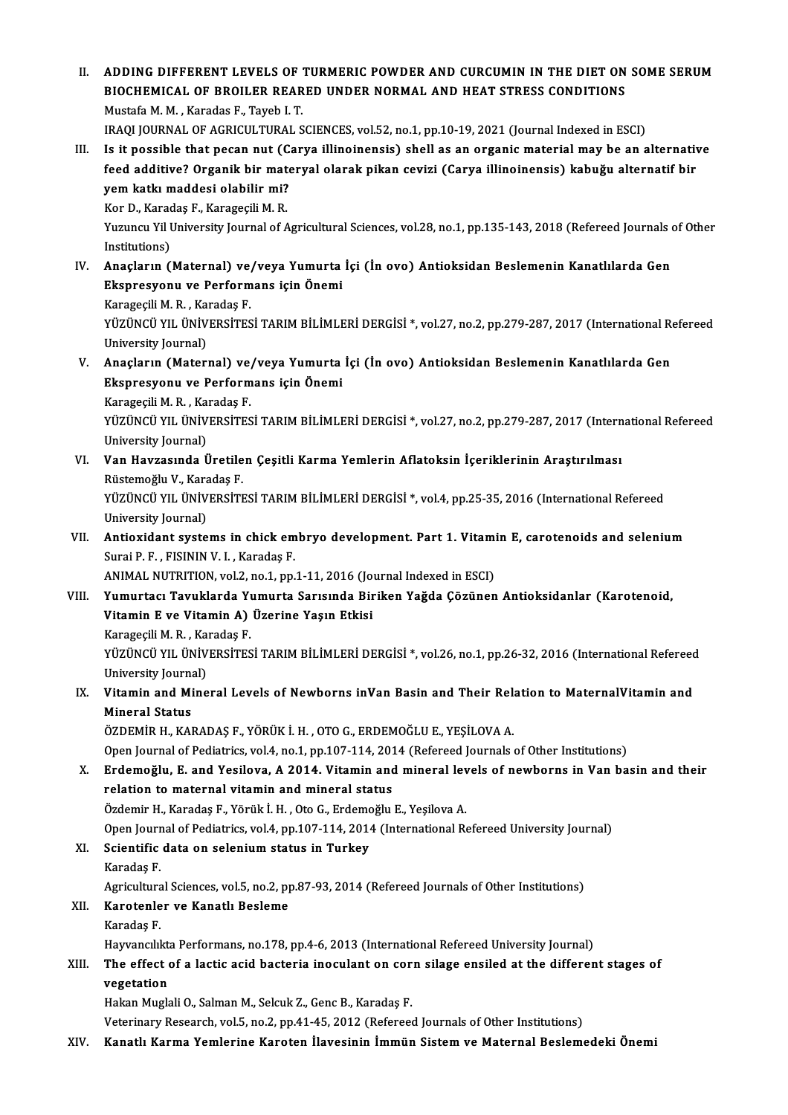ADDING DIFFERENT LEVELS OF TURMERIC POWDER AND CURCUMIN IN THE DIET ON<br>BIOCHEMICAL OF BROILER REARED UNDER NORMAL AND HEAT STRESS CONDITIONS<br>Mustafa M.M., Karadag E. Tavob L.T. ADDING DIFFERENT LEVELS OF<br>BIOCHEMICAL OF BROILER REAR<br>Mustafa M.M., Karadas F., Tayeb I.T.<br>IRAOLIOURNAL OF ACRICULTURAL S Mustafa M. M. , Karadas F., Tayeb I. T.<br>IRAQI JOURNAL OF AGRICULTURAL SCIENCES, vol.52, no.1, pp.10-19, 2021 (Journal Indexed in ESCI) Mustafa M. M., Karadas F., Tayeb I. T.<br>IRAQI JOURNAL OF AGRICULTURAL SCIENCES, vol.52, no.1, pp.10-19, 2021 (Journal Indexed in ESCI)<br>III. Is it possible that pecan nut (Carya illinoinensis) shell as an organic material ma IRAQI JOURNAL OF AGRICULTURAL SCIENCES, vol.52, no.1, pp.10-19, 2021 (Journal Indexed in ESCI)<br>Is it possible that pecan nut (Carya illinoinensis) shell as an organic material may be an alternatif<br>feed additive? Organik bi Is it possible that pecan nut (C)<br>feed additive? Organik bir mate<br>yem katkı maddesi olabilir mi?<br>Ker D, Karadas E, Karagesili M, B feed additive? Organik bir materyal olarak pikan cevizi (Carya illinoinensis) kabuğu alternatif bir<br>yem katkı maddesi olabilir mi?<br>Kor D., Karadaş F., Karageçili M. R. yem katkı maddesi olabilir mi?<br>Kor D., Karadaş F., Karageçili M. R.<br>Yuzuncu Yil University Journal of Agricultural Sciences, vol.28, no.1, pp.135-143, 2018 (Refereed Journals of Other Kor D., Karac<br>Yuzuncu Yil I<br>Institutions)<br>Anacların ( Yuzuncu Yil University Journal of Agricultural Sciences, vol.28, no.1, pp.135-143, 2018 (Refereed Journals den<br>IN. Anaçların (Maternal) ve/veya Yumurta İçi (İn ovo) Antioksidan Beslemenin Kanatlılarda Gen<br>Ekonogyanu ve Ber Institutions)<br>Anaçların (Maternal) ve/veya Yumurta<br>Ekspresyonu ve Performans için Önemi Anaçların (Maternal) ve,<br>Ekspresyonu ve Perform<br>Karageçili M. R. , Karadaş F.<br>vüzüNçü vu, ünüvepsires Ekspresyonu ve Performans için Önemi<br>Karageçili M. R. , Karadaş F.<br>YÜZÜNCÜ YIL ÜNİVERSİTESİ TARIM BİLİMLERİ DERGİSİ \*, vol.27, no.2, pp.279-287, 2017 (International Refereed<br>University Journal) Karageçili M. R. , Ka<br>YÜZÜNCÜ YIL ÜNİV<br>University Journal)<br>Anasların (Matarı YÜZÜNCÜ YIL ÜNİVERSİTESİ TARIM BİLİMLERİ DERGİSİ \*, vol.27, no.2, pp.279-287, 2017 (International Republished I<br>University Journal)<br>V. Anaçların (Maternal) ve/veya Yumurta İçi (İn ovo) Antioksidan Beslemenin Kanatlılarda G University Journal)<br>Anaçların (Maternal) ve/veya Yumurta<br>Ekspresyonu ve Performans için Önemi Anaçların (Maternal) ve,<br>Ekspresyonu ve Perform<br>Karageçili M. R. , Karadaş F.<br>vüzüNçü vu, ünüvensires Ekspresyonu ve Performans için Önemi<br>Karageçili M. R. , Karadaş F.<br>YÜZÜNCÜ YIL ÜNİVERSİTESİ TARIM BİLİMLERİ DERGİSİ \*, vol.27, no.2, pp.279-287, 2017 (International Refereed Karageçili M. R. , Ka<br>YÜZÜNCÜ YIL ÜNİV<br>University Journal)<br>Van Hayrasında Ü YÜZÜNCÜ YIL ÜNİVERSİTESİ TARIM BİLİMLERİ DERGİSİ \*, vol.27, no.2, pp.279-287, 2017 (Intern<br>University Journal)<br>VI. Van Havzasında Üretilen Çeşitli Karma Yemlerin Aflatoksin İçeriklerinin Araştırılması<br>Püstemeğlu V. Kar University Journal)<br>VI. Van Havzasında Üretilen Çeşitli Karma Yemlerin Aflatoksin İçeriklerinin Araştırılması<br>Rüstemoğlu V., Karadaş F. Van Havzasında Üretilen Çeşitli Karma Yemlerin Aflatoksin İçeriklerinin Araştırılması<br>Rüstemoğlu V., Karadaş F.<br>YÜZÜNCÜ YIL ÜNİVERSİTESİ TARIM BİLİMLERİ DERGİSİ \*, vol.4, pp.25-35, 2016 (International Refereed<br>University J Rüstemoğlu V., Kara<br>YÜZÜNCÜ YIL ÜNİV<br>University Journal)<br>Antioxidant suste YÜZÜNCÜ YIL ÜNİVERSİTESİ TARIM BİLİMLERİ DERGİSİ \*, vol.4, pp.25-35, 2016 (International Refereed<br>University Journal)<br>VII. Antioxidant systems in chick embryo development. Part 1. Vitamin E, carotenoids and selenium<br>Su University Journal)<br>Antioxidant systems in chick em<br>Surai P. F. , FISININ V. I. , Karadaş F.<br>ANIMAL NUTERITION vel 2 no 1 nn Antioxidant systems in chick embryo development. Part 1. Vitami<br>Surai P. F. , FISININ V. I. , Karadaş F.<br>ANIMAL NUTRITION, vol.2, no.1, pp.1-11, 2016 (Journal Indexed in ESCI)<br>Yumurtacı Tayuklarda Yumurta Sarısında Birikan Surai P. F. , FISININ V. I. , Karadaş F.<br>ANIMAL NUTRITION, vol.2, no.1, pp.1-11, 2016 (Journal Indexed in ESCI)<br>VIII. Yumurtacı Tavuklarda Yumurta Sarısında Biriken Yağda Çözünen Antioksidanlar (Karotenoid, ANIMAL NUTRITION, vol.2, no.1, pp.1-11, 2016 (Journal A)<br>Yumurtacı Tavuklarda Yumurta Sarısında Bir<br>Vitamin E ve Vitamin A) Üzerine Yaşın Etkisi<br>Karagasili M.B., Karadas E Yumurtacı Tavuklarda Yı<br>Vitamin E ve Vitamin A)<br>Karageçili M. R. , Karadaş F.<br>vüzüNcü vu Jüniyepsires YÜZÜNCÜ YIL ÜNİVERSİTESİ TARIM BİLİMLERİ DERGİSİ \*, vol.26, no.1, pp.26-32, 2016 (International Refereed Karageçili M.R., Karadaş F. IX. Vitamin and Mineral Levels of Newborns inVan Basin and Their Relation to MaternalVitamin and University Journal) ÖZDEMİRH.,KARADAŞ F.,YÖRÜKİ.H. ,OTOG.,ERDEMOĞLUE.,YEŞİLOVAA. Open Journal of Pediatrics, vol.4, no.1, pp.107-114, 2014 (Refereed Journals of Other Institutions) X. Erdemoğlu, E. and Yesilova, A 2014. Vitamin andmineral levels of newborns in Van basin and their relation to maternal vitamin and mineral status Erdemoğlu, E. and Yesilova, A 2014. Vitamin and mineral lev<br>relation to maternal vitamin and mineral status<br>Özdemir H., Karadaş F., Yörük İ.H., Oto G., Erdemoğlu E., Yeşilova A.<br>Open Journal of Pediatrics vol.4. pp.107.114 relation to maternal vitamin and mineral status<br>Özdemir H., Karadaş F., Yörük İ. H. , Oto G., Erdemoğlu E., Yeşilova A.<br>Open Journal of Pediatrics, vol.4, pp.107-114, 2014 (International Refereed University Journal)<br>Ssient Özdemir H., Karadaş F., Yörük İ. H. , Oto G., Erdemc<br>Open Journal of Pediatrics, vol.4, pp.107-114, 2014<br>XI. Scientific data on selenium status in Turkey<br>Karadas F Open Jourr<br>Scientific<br>Karadaş F.<br>Agriculture Scientific data on selenium status in Turkey<br>Karadaş F.<br>Agricultural Sciences, vol.5, no.2, pp.87-93, 2014 (Refereed Journals of Other Institutions)<br>Karatanlar ve Kanatlı Beslame Karadaş F.<br>Agricultural Sciences, vol.5, no.2, p<br>XII. Karotenler ve Kanatlı Besleme<br>Karadas F. Agricultura<br>**Karotenle<br>Karadaş F.**<br>Hayyangılı Karotenler ve Kanatlı Besleme<br>Karadaş F.<br>Hayvancılıkta Performans, no.178, pp.4-6, 2013 (International Refereed University Journal)<br>The effect of a lastis asid basteria inosulant en sorp silage ensiled at the differen Karadaş F.<br>Hayvancılıkta Performans, no.178, pp.4-6, 2013 (International Refereed University Journal)<br>XIII. The effect of a lactic acid bacteria inoculant on corn silage ensiled at the different stages of<br>vegetation Hayvancılıktı<br>The effect<br>vegetation<br>Hakan Musk The effect of a lactic acid bacteria inoculant on cor<br>vegetation<br>Hakan Muglali O., Salman M., Selcuk Z., Genc B., Karadaş F.<br>Veterinary Bessarsh vel E. no 2. nn 41.45.2012 (Befaress vegetation<br>Hakan Muglali O., Salman M., Selcuk Z., Genc B., Karadaş F.<br>Veterinary Research, vol.5, no.2, pp.41-45, 2012 (Refereed Journals of Other Institutions) XIV. Kanatlı Karma Yemlerine Karoten İlavesinin İmmün Sistem ve Maternal Beslemedeki Önemi

II. ADDING DIFFERENT LEVELS OF TURMERIC POWDER AND CURCUMIN IN THE DIET ON SOME SERUM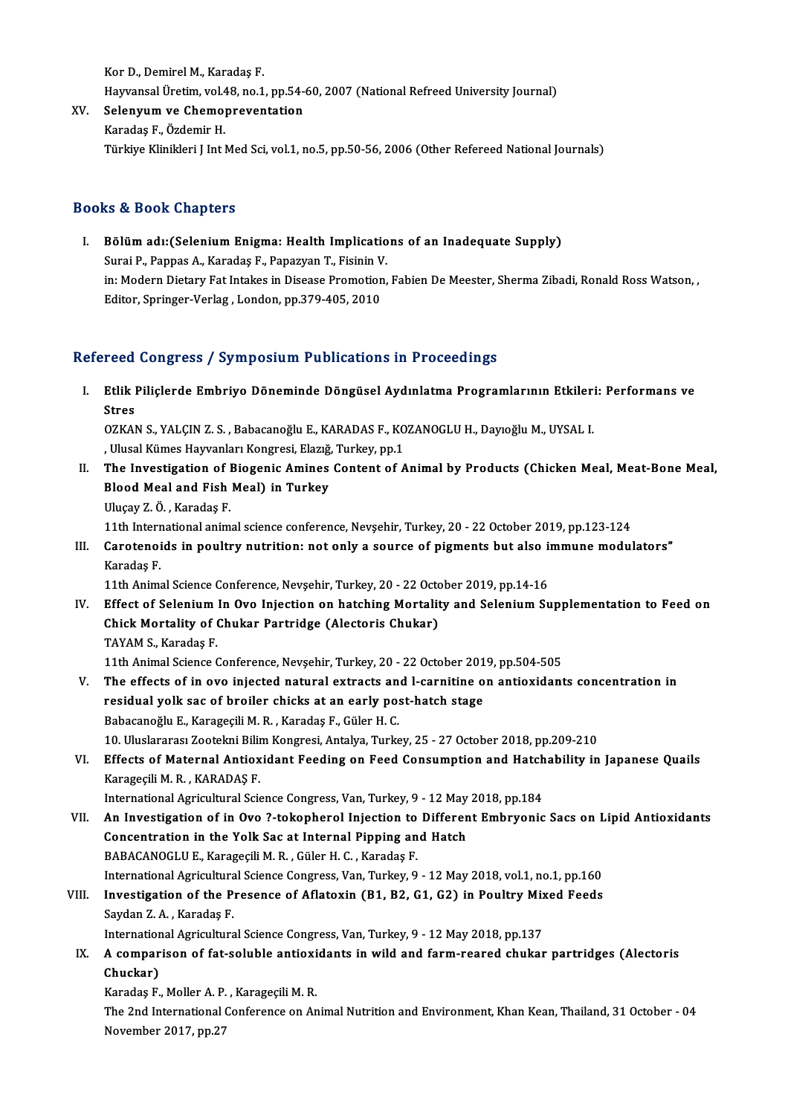KorD.,DemirelM.,Karadaş F. Hayvansal Üretim, vol.48, no.1, pp.54-60, 2007 (National Refreed University Journal) Kor D., Demirel M., Karadaş F.<br>Hayvansal Üretim, vol.48, no.1, pp.54-<br>XV. Selenyum ve Chemopreventation

Hayvansal Üretim, vol.4<br>Selen<mark>yum ve Chemo</mark><br>Karadaş F., Özdemir H.<br>Türkiye Klinikleri Lint I Karadaş F., Özdemir H.<br>Türkiye Klinikleri J Int Med Sci, vol.1, no.5, pp.50-56, 2006 (Other Refereed National Journals)

## Books&Book Chapters

ooks & Book Chapters<br>I. Bölüm adı:(Selenium Enigma: Health Implications of an Inadequate Supply)<br>Surei B. Pannas A. Karadas E. Panagyan T. Eisinin V. surat Duuri anaptestu<br>Bölüm adı: (Selenium Enigma: Health Implicatio<br>Surai P., Pappas A., Karadaş F., Papazyan T., Fisinin V.<br>in: Modern Distany Est Intekse in Disease Promotion Bölüm adı:(Selenium Enigma: Health Implications of an Inadequate Supply)<br>Surai P., Pappas A., Karadaş F., Papazyan T., Fisinin V.<br>in: Modern Dietary Fat Intakes in Disease Promotion, Fabien De Meester, Sherma Zibadi, Ronal Surai P., Pappas A., Karadaş F., Papazyan T., Fisinin V<br>in: Modern Dietary Fat Intakes in Disease Promotion<br>Editor, Springer-Verlag , London, pp.379-405, 2010 Editor, Springer-Verlag , London, pp.379-405, 2010<br>Refereed Congress / Symposium Publications in Proceedings

efereed Congress / Symposium Publications in Proceedings<br>I. Etlik Piliçlerde Embriyo Döneminde Döngüsel Aydınlatma Programlarının Etkileri: Performans ve<br>Stres reed<br>Etlik I<br>Stres Etlik Piliçlerde Embriyo Döneminde Döngüsel Aydınlatma Programlarının Etkiler:<br>Stres<br>OZKAN S., YALÇIN Z. S. , Babacanoğlu E., KARADAS F., KOZANOGLU H., Dayıoğlu M., UYSAL I.<br>Ulucal Kümes Hawranları Kongresi, Flazığ, Turkey

Stres<br>OZKAN S., YALÇIN Z. S. , Babacanoğlu E., KARADAS F., KOZANOGLU H., Dayıoğlu M., UYSAL I.<br>, Ulusal Kümes Hayvanları Kongresi, Elazığ, Turkey, pp.1

- OZKAN S., YALÇIN Z. S. , Babacanoğlu E., KARADAS F., KOZANOGLU H., Dayıoğlu M., UYSAL I.<br>II. The Investigation of Biogenic Amines Content of Animal by Products (Chicken Meal, Meat-Bone Meal,<br>Rland Meal and Eish Meal) i , Ulusal Kümes Hayvanları Kongresi, Elazığ,<br>The Investigation of Biogenic Amines<br>Blood Meal and Fish Meal) in Turkey<br><sup>Hlucov 7. Ö.</sup> Karedas E The Investigation of I<br>Blood Meal and Fish<br>Uluçay Z.Ö., Karadaş F.<br>11th International anim
	-
	-

Blood Meal and Fish Meal) in Turkey<br>Uluçay Z. Ö. , Karadaş F.<br>11th International animal science conference, Nevşehir, Turkey, 20 - 22 October 2019, pp.123-124<br>Caratanaida in noultur putrition: nat only a sourse of nismants

Uluçay Z. Ö. , Karadaş F.<br>11th International animal science conference, Nevşehir, Turkey, 20 - 22 October 2019, pp.123-124<br>III. Carotenoids in poultry nutrition: not only a source of pigments but also immune modulators"<br>Ka 11th Intern<br>Carotenoi<br>Karadaş F. Carotenoids in poultry nutrition: not only a source of pigments but also in<br>Karadaş F.<br>11th Animal Science Conference, Nevşehir, Turkey, 20 - 22 October 2019, pp.14-16<br>Fffect of Solonium In Ove Injection on batebing Mortel

Karadaş F.<br>11th Animal Science Conference, Nevşehir, Turkey, 20 - 22 October 2019, pp.14-16<br>IV. Effect of Selenium In Ovo Injection on hatching Mortality and Selenium Supplementation to Feed on<br>Chiek Mortality of Chukar Bo 11th Animal Science Conference, Nevşehir, Turkey, 20 - 22 Octon<br>Effect of Selenium In Ovo Injection on hatching Mortalit<br>Chick Mortality of Chukar Partridge (Alectoris Chukar)<br>TAVAM S. Karadas E Effect of Selenium<br>Chick Mortality of (<br>TAYAM S., Karadaş F.<br>11th Animal Scianas ( 11th Animal Science Chukar Partridge (Alectoris Chukar)<br>TAYAM S., Karadaş F.<br>11th Animal Science Conference, Nevşehir, Turkey, 20 - 22 October 2019, pp.504-505

- V. The effects of in ovo injected natural extracts and l-carnitine on antioxidants concentration in 11th Animal Science Conference, Nevşehir, Turkey, 20 - 22 October 201<br>The effects of in ovo injected natural extracts and l-carnitine of<br>residual yolk sac of broiler chicks at an early post-hatch stage<br>Babasaneğlu E. Karag The effects of in ovo injected natural extracts an<br>residual yolk sac of broiler chicks at an early po:<br>Babacanoğlu E., Karageçili M. R. , Karadaş F., Güler H. C.<br>10 Uluslararası Zootalmi Bilim Kongresi Antalya Turks residual yolk sac of broiler chicks at an early post-hatch stage<br>Babacanoğlu E., Karageçili M. R. , Karadaş F., Güler H. C.<br>10. Uluslararası Zootekni Bilim Kongresi, Antalya, Turkey, 25 - 27 October 2018, pp.209-210<br>Effect Babacanoğlu E., Karageçili M. R. , Karadaş F., Güler H. C.<br>10. Uluslararası Zootekni Bilim Kongresi, Antalya, Turkey, 25 - 27 October 2018, pp.209-210<br>VI. Effects of Maternal Antioxidant Feeding on Feed Consumption and Hat
- 10. Uluslararası Zootekni Bilin<br>Effects of Maternal Antiox<br>Karageçili M. R. , KARADAŞ F.<br>International Agricultural Scie Effects of Maternal Antioxidant Feeding on Feed Consumption and Hatch<br>Karageçili M. R. , KARADAŞ F.<br>International Agricultural Science Congress, Van, Turkey, 9 - 12 May 2018, pp.184<br>An Investigation of in Ove 2 tekenherel

Karageçili M. R., KARADAŞ F.<br>International Agricultural Science Congress, Van, Turkey, 9 - 12 May 2018, pp.184<br>VII. An Investigation of in Ovo ?-tokopherol Injection to Different Embryonic Sacs on Lipid Antioxidants<br>Co International Agricultural Science Congress, Van, Turkey, 9 - 12 May<br>An Investigation of in Ovo ?-tokopherol Injection to Differen<br>Concentration in the Yolk Sac at Internal Pipping and Hatch<br>RARACANOCLUE Karagasili M.B. Gü An Investigation of in Ovo ?-tokopherol Injection to<br>Concentration in the Yolk Sac at Internal Pipping an<br>BABACANOGLUE., Karageçili M.R., Güler H.C., Karadaş F.<br>International Agricultural Science Congress Van Turkey, 9 Concentration in the Yolk Sac at Internal Pipping and Hatch<br>BABACANOGLU E., Karageçili M. R. , Güler H. C. , Karadaş F.<br>International Agricultural Science Congress, Van, Turkey, 9 - 12 May 2018, vol.1, no.1, pp.160<br>Investi BABACANOGLU E., Karageçili M. R. , Güler H. C. , Karadaş F.<br>International Agricultural Science Congress, Van, Turkey, 9 - 12 May 2018, vol.1, no.1, pp.160<br>VIII. Investigation of the Presence of Aflatoxin (B1, B2, G1, G2) i

# International Agricultura<br>Investigation of the P:<br>Saydan Z. A. , Karadaş F.<br>International Agriculture Investigation of the Presence of Aflatoxin (B1, B2, G1, G2) in Poultry Mix<br>Saydan Z.A., Karadaş F.<br>International Agricultural Science Congress, Van, Turkey, 9 - 12 May 2018, pp.137<br>A sempenisen of fat seluble entiexidents

# Saydan Z. A. , Karadaş F.<br>International Agricultural Science Congress, Van, Turkey, 9 - 12 May 2018, pp.137<br>IX. A comparison of fat-soluble antioxidants in wild and farm-reared chukar partridges (Alectoris<br>Chuckar) Internation<br>A compar<br>Chuckar)<br>Kanadaa E A comparison of fat-soluble antioxi<br>Chuckar)<br>Karadaş F., Moller A. P. , Karageçili M. R.<br>The 2nd International Conference on Ar

Karadaş F., Moller A. P., Karageçili M. R.

Chuckar)<br>Karadaş F., Moller A. P. , Karageçili M. R.<br>The 2nd International Conference on Animal Nutrition and Environment, Khan Kean, Thailand, 31 October - 04<br>November 2017, pp.27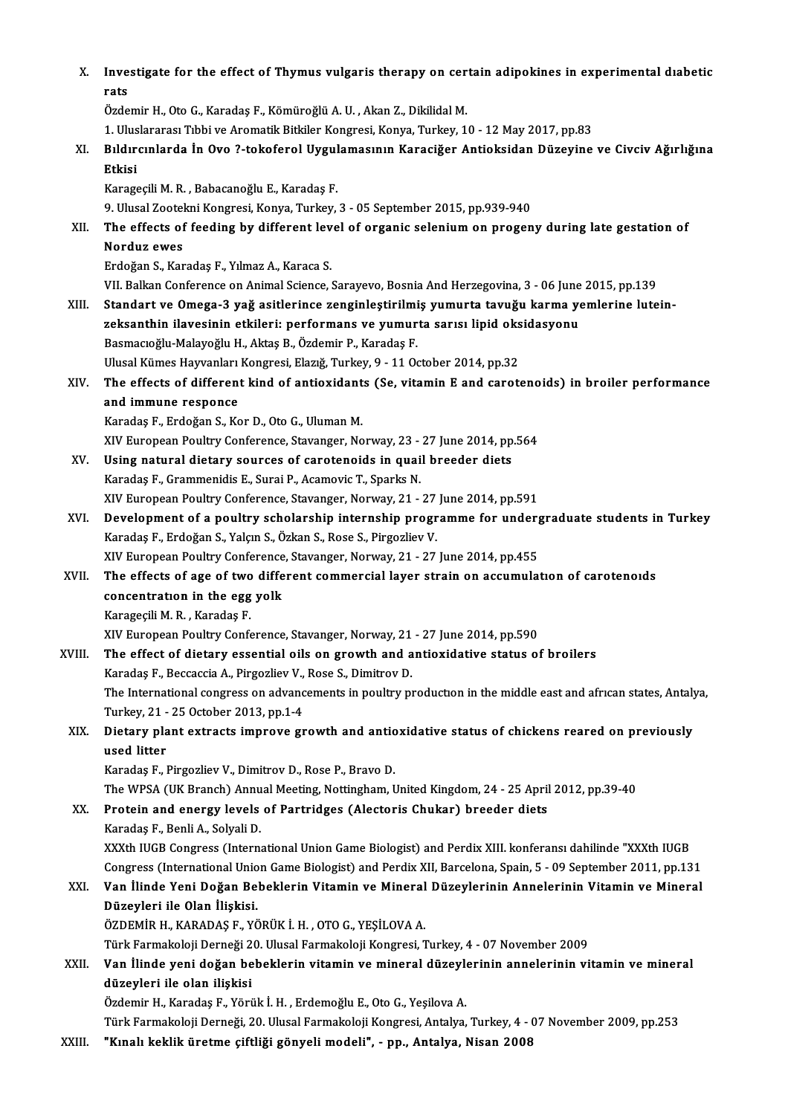| X.     | Investigate for the effect of Thymus vulgaris therapy on certain adipokines in experimental diabetic             |
|--------|------------------------------------------------------------------------------------------------------------------|
|        | rats                                                                                                             |
|        | Özdemir H., Oto G., Karadaş F., Kömüroğlü A. U., Akan Z., Dikilidal M.                                           |
|        | 1. Uluslararası Tıbbi ve Aromatik Bitkiler Kongresi, Konya, Turkey, 10 - 12 May 2017, pp.83                      |
| XI.    | Bıldırcınlarda İn Ovo ?-tokoferol Uygulamasının Karaciğer Antioksidan Düzeyine ve Civciv Ağırlığına              |
|        | Etkisi                                                                                                           |
|        | Karageçili M. R., Babacanoğlu E., Karadaş F.                                                                     |
|        | 9. Ulusal Zootekni Kongresi, Konya, Turkey, 3 - 05 September 2015, pp.939-940                                    |
| XII.   | The effects of feeding by different level of organic selenium on progeny during late gestation of                |
|        | Norduz ewes                                                                                                      |
|        | Erdoğan S., Karadaş F., Yılmaz A., Karaca S.                                                                     |
|        | VII. Balkan Conference on Animal Science, Sarayevo, Bosnia And Herzegovina, 3 - 06 June 2015, pp.139             |
| XIII.  | Standart ve Omega-3 yağ asitlerince zenginleştirilmiş yumurta tavuğu karma yemlerine lutein-                     |
|        | zeksanthin ilavesinin etkileri: performans ve yumurta sarısı lipid oksidasyonu                                   |
|        | Basmacıoğlu-Malayoğlu H., Aktaş B., Özdemir P., Karadaş F.                                                       |
|        | Ulusal Kümes Hayvanları Kongresi, Elazığ, Turkey, 9 - 11 October 2014, pp.32                                     |
| XIV.   | The effects of different kind of antioxidants (Se, vitamin E and carotenoids) in broiler performance             |
|        | and immune responce                                                                                              |
|        | Karadaş F., Erdoğan S., Kor D., Oto G., Uluman M.                                                                |
|        | XIV European Poultry Conference, Stavanger, Norway, 23 - 27 June 2014, pp.564                                    |
| XV.    | Using natural dietary sources of carotenoids in quail breeder diets                                              |
|        | Karadaş F., Grammenidis E., Surai P., Acamovic T., Sparks N.                                                     |
|        | XIV European Poultry Conference, Stavanger, Norway, 21 - 27 June 2014, pp.591                                    |
| XVI.   | Development of a poultry scholarship internship programme for undergraduate students in Turkey                   |
|        | Karadaş F., Erdoğan S., Yalçın S., Özkan S., Rose S., Pirgozliev V.                                              |
|        | XIV European Poultry Conference, Stavanger, Norway, 21 - 27 June 2014, pp.455                                    |
| XVII.  | The effects of age of two different commercial layer strain on accumulation of carotenoids                       |
|        | concentration in the egg yolk                                                                                    |
|        | Karageçili M. R., Karadaş F.                                                                                     |
|        | XIV European Poultry Conference, Stavanger, Norway, 21 - 27 June 2014, pp.590                                    |
| XVIII. | The effect of dietary essential oils on growth and antioxidative status of broilers                              |
|        | Karadaş F., Beccaccia A., Pirgozliev V., Rose S., Dimitrov D.                                                    |
|        | The International congress on advancements in poultry production in the middle east and african states, Antalya, |
|        | Turkey, 21 - 25 October 2013, pp 1-4                                                                             |
| XIX.   | Dietary plant extracts improve growth and antioxidative status of chickens reared on previously                  |
|        | used litter                                                                                                      |
|        | Karadaş F., Pirgozliev V., Dimitrov D., Rose P., Bravo D.                                                        |
|        | The WPSA (UK Branch) Annual Meeting, Nottingham, United Kingdom, 24 - 25 April 2012, pp.39-40                    |
| XX.    | Protein and energy levels of Partridges (Alectoris Chukar) breeder diets                                         |
|        | Karadaş F., Benli A., Solyali D.                                                                                 |
|        | XXXth IUGB Congress (International Union Game Biologist) and Perdix XIII. konferansı dahilinde "XXXth IUGB       |
|        | Congress (International Union Game Biologist) and Perdix XII, Barcelona, Spain, 5 - 09 September 2011, pp.131    |
| XXI.   | Van İlinde Yeni Doğan Bebeklerin Vitamin ve Mineral Düzeylerinin Annelerinin Vitamin ve Mineral                  |
|        | Düzeyleri ile Olan İlişkisi.                                                                                     |
|        | ÖZDEMİR H., KARADAŞ F., YÖRÜK İ. H., OTO G., YEŞİLOVA A.                                                         |
|        | Türk Farmakoloji Derneği 20. Ulusal Farmakoloji Kongresi, Turkey, 4 - 07 November 2009                           |
| XXII.  | Van İlinde yeni doğan bebeklerin vitamin ve mineral düzeylerinin annelerinin vitamin ve mineral                  |
|        | düzeyleri ile olan ilişkisi                                                                                      |
|        | Özdemir H., Karadaş F., Yörük İ. H., Erdemoğlu E., Oto G., Yeşilova A.                                           |
|        | Türk Farmakoloji Derneği, 20. Ulusal Farmakoloji Kongresi, Antalya, Turkey, 4 - 07 November 2009, pp.253         |
| XXIII. | "Kınalı keklik üretme çiftliği gönyeli modeli", - pp., Antalya, Nisan 2008                                       |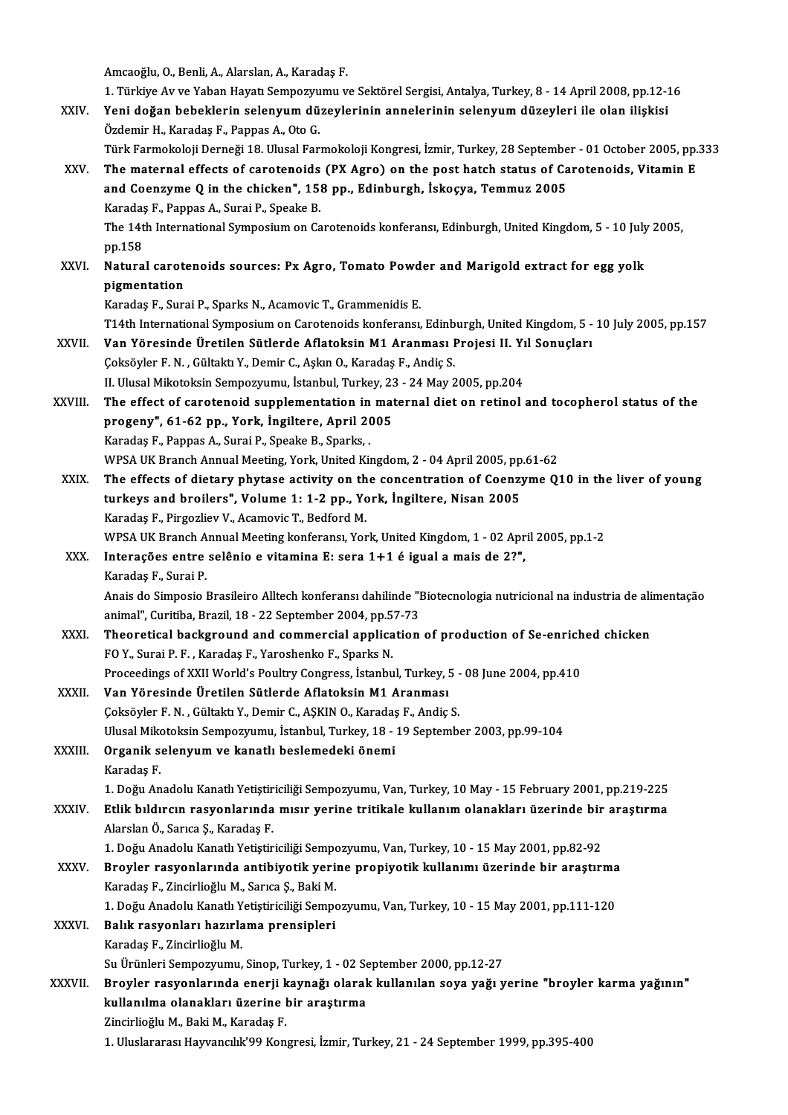Amcaoğlu,O.,Benli,A.,Alarslan,A.,Karadaş F.

1. Türkiye Av ve Yaban Hayatı Sempozyumu ve Sektörel Sergisi, Antalya, Turkey, 8 - 14 April 2008, pp.12-16 XXIV. Yeni doğan bebeklerin selenyumdüzeylerinin annelerinin selenyumdüzeyleri ile olan ilişkisi Özdemir H., Karadaş F., Pappas A., Oto G. Yeni doğan bebeklerin selenyum düzeylerinin annelerinin selenyum düzeyleri ile olan ilişkisi<br>Özdemir H., Karadaş F., Pappas A., Oto G.<br>Türk Farmokoloji Derneği 18. Ulusal Farmokoloji Kongresi, İzmir, Turkey, 28 September -Özdemir H., Karadaş F., Pappas A., Oto G.<br>Türk Farmokoloji Derneği 18. Ulusal Farmokoloji Kongresi, İzmir, Turkey, 28 September - 01 October 2005, pp.<br>XXV. The maternal effects of carotenoids (PX Agro) on the post hatc Türk Farmokoloji Derneği 18. Ulusal Farmokoloji Kongresi, İzmir, Turkey, 28 Septembe<br>The maternal effects of carotenoids (PX Agro) on the post hatch status of Ca<br>and Coenzyme Q in the chicken", 158 pp., Edinburgh, İskoçya, The maternal effects of carotenoids (PX Agro) on the post hatch status of Carotenoids, Vitamin E and Coenzyme Q in the chicken", 158 pp., Edinburgh, İskoçya, Temmuz 2005<br>Karadaş F., Pappas A., Surai P., Speake B. and Coenzyme Q in the chicken", 158 pp., Edinburgh, İskoçya, Temmuz 2005<br>Karadaş F., Pappas A., Surai P., Speake B.<br>The 14th International Symposium on Carotenoids konferansı, Edinburgh, United Kingdom, 5 - 10 July 2005,<br>n Karadaş<br>The 14t<br>pp.158<br>Natura The 14th International Symposium on Carotenoids konferansı, Edinburgh, United Kingdom, 5 - 10 July<br>pp.158<br>XXVI. Natural carotenoids sources: Px Agro, Tomato Powder and Marigold extract for egg yolk<br>nigmontation pp.158<br>Natural carot<br>pigmentation<br>Karadas E. Surs Natural carotenoids sources: Px Agro, Tomato Powd<br>pigmentation<br>Karadaş F., Surai P., Sparks N., Acamovic T., Grammenidis E.<br>T14th International Sumnesium en Ceretenoids konferensu pigmentation<br>Karadaş F., Surai P., Sparks N., Acamovic T., Grammenidis E.<br>T14th International Symposium on Carotenoids konferansı, Edinburgh, United Kingdom, 5 - 10 July 2005, pp.157<br>Ven Yöresinde Ünetilen Sütlende Afletek Karadaş F., Surai P., Sparks N., Acamovic T., Grammenidis E.<br>T14th International Symposium on Carotenoids konferansı, Edinburgh, United Kingdom, 5 -<br>XXVII. Van Yöresinde Üretilen Sütlerde Aflatoksin M1 Aranması Projesi II. T14th International Symposium on Carotenoids konferansı, Edinb<br>Van Yöresinde Üretilen Sütlerde Aflatoksin M1 Aranması I<br>Çoksöyler F. N. , Gültaktı Y., Demir C., Aşkın O., Karadaş F., Andiç S.<br>H. Hlusel Miketekain Semnewnum Van Yöresinde Üretilen Sütlerde Aflatoksin M1 Aranması Projesi II. Yı<br>Çoksöyler F. N. , Gültaktı Y., Demir C., Aşkın O., Karadaş F., Andiç S.<br>II. Ulusal Mikotoksin Sempozyumu, İstanbul, Turkey, 23 - 24 May 2005, pp.204<br>The Coksöyler F. N. , Gültaktı Y., Demir C., Aşkın O., Karadaş F., Andiç S.<br>II. Ulusal Mikotoksin Sempozyumu, İstanbul, Turkey, 23 - 24 May 2005, pp.204<br>XXVIII. The effect of carotenoid supplementation in maternal diet on II. Ulusal Mikotoksin Sempozyumu, İstanbul, Turkey, 23<br>The effect of carotenoid supplementation in mat<br>progeny", 61-62 pp., York, İngiltere, April 2005<br>Karodas E. Pannas A. Surei B. Speaka B. Speaka The effect of carotenoid supplementation in<br>progeny", 61-62 pp., York, Ingiltere, April 20<br>Karadaş F., Pappas A., Surai P., Speake B., Sparks, .<br>WBSA UK Pransh Annual Meeting Verk United Ki Karadaş F., Pappas A., Surai P., Speake B., Sparks, .<br>WPSA UK Branch Annual Meeting, York, United Kingdom, 2 - 04 April 2005, pp.61-62 XXIX. The effects of dietary phytase activity on the concentration of Coenzyme Q10 in the liver of young WPSA UK Branch Annual Meeting, York, United Kingdom, 2 - 04 April 2005, pp<br>The effects of dietary phytase activity on the concentration of Coenz:<br>turkeys and broilers", Volume 1: 1-2 pp., York, İngiltere, Nisan 2005<br>Karada The effects of dietary phytase activity on th<br>turkeys and broilers", Volume 1: 1-2 pp., Yo<br>Karadaş F., Pirgozliev V., Acamovic T., Bedford M.<br>WPSA UK Branch Annual Meeting konferensy Yor turkeys and broilers", Volume 1: 1-2 pp., York, İngiltere, Nisan 2005<br>Karadaş F., Pirgozliev V., Acamovic T., Bedford M.<br>WPSA UK Branch Annual Meeting konferansı, York, United Kingdom, 1 - 02 April 2005, pp.1-2<br>Interecões Karadaş F., Pirgozliev V., Acamovic T., Bedford M.<br>WPSA UK Branch Annual Meeting konferansı, York, United Kingdom, 1 - 02 Apr<br>XXX. Interações entre selênio e vitamina E: sera 1+1 é igual a mais de 2?",<br>Karadas F., Surai P. WPSA UK Branch A<br>Interações entre<br>Karadaş F., Surai P.<br>Anais de Simpesie l I<mark>nterações entre selênio e vitamina E: sera 1+1 é igual a mais de 2?",</mark><br>Karadaş F., Surai P.<br>Anais do Simposio Brasileiro Alltech konferansı dahilinde "Biotecnologia nutricional na industria de alimentação Karadaş F., Surai P.<br>Anais do Simposio Brasileiro Alltech konferansı dahilinde "I<br>animal", Curitiba, Brazil, 18 - 22 September 2004, pp.57-73<br>Theoratical haskground and commorsial annisation Anais do Simposio Brasileiro Alltech konferansı dahilinde "Biotecnologia nutricional na industria de ali<br>animal", Curitiba, Brazil, 18 - 22 September 2004, pp.57-73<br>XXXI. Theoretical background and commercial application o animal", Curitiba, Brazil, 18 - 22 September 2004, pp.57-73<br>Theoretical background and commercial application of production of Se-enriched chicken<br>FOY., Surai P. F. , Karadas F., Yaroshenko F., Sparks N. Theoretical background and commercial application of production of Se-enrich<br>FO Y., Surai P. F. , Karadaş F., Yaroshenko F., Sparks N.<br>Proceedings of XXII World's Poultry Congress, İstanbul, Turkey, 5 - 08 June 2004, pp.41 XXXII. Van Yöresinde Üretilen Sütlerde Aflatoksin M1 Aranması<br>Coksöyler F. N., Gültaktı Y., Demir C., ASKIN O., Karadaş F., Andiç S. Proceedings of XXII World's Poultry Congress, İstanbul, Turkey, 5 -<br>Van Yöresinde Üretilen Sütlerde Aflatoksin M1 Aranması<br>Çoksöyler F. N. , Gültaktı Y., Demir C., AŞKIN O., Karadaş F., Andiç S.<br>Ulucel Miketeksin Semnegrum Van Yöresinde Üretilen Sütlerde Aflatoksin M1 Aranması<br>Çoksöyler F. N. , Gültaktı Y., Demir C., AŞKIN O., Karadaş F., Andiç S.<br>Ulusal Mikotoksin Sempozyumu, İstanbul, Turkey, 18 - 19 September 2003, pp.99-104<br>Organik selen Coksöyler F. N. , Gültaktı Y., Demir C., AŞKIN O., Karadaş<br>Ulusal Mikotoksin Sempozyumu, İstanbul, Turkey, 18 -<br>XXXIII. Organik selenyum ve kanatlı beslemedeki önemi Ulusal Miko<br>**Organik s**<br>Karadaş F.<br>1. Doğu An Organik selenyum ve kanatlı beslemedeki önemi<br>Karadaş F.<br>1. Doğu Anadolu Kanatlı Yetiştiriciliği Sempozyumu, Van, Turkey, 10 May - 15 February 2001, pp.219-225<br>Etlik bulduran nasyonlarında mısır yorine tritikale kullanım o Karadaş F.<br>1. Doğu Anadolu Kanatlı Yetiştiriciliği Sempozyumu, Van, Turkey, 10 May - 15 February 2001, pp.219-225<br>2. XXXIV. Etlik bıldırcın rasyonlarında mısır yerine tritikale kullanım olanakları üzerinde bir araştırma<br> 1. Doğu Anadolu Kanatlı Yetiştir<br><mark>Etlik bıldırcın rasyonlarında</mark><br>Alarslan Ö., Sarıca Ş., Karadaş F.<br>1. Doğu Anadolu Kanatlı Yetistir 1. Etlik bıldırcın rasyonlarında mısır yerine tritikale kullanım olanakları üzerinde bir araştırma<br>Alarslan Ö., Sarıca Ş., Karadaş F.<br>1. Doğu Anadolu Kanatlı Yetiştiriciliği Sempozyumu, Van, Turkey, 10 - 15 May 2001, pp.82 Alarslan Ö., Sarıca Ş., Karadaş F.<br>1. Doğu Anadolu Kanatlı Yetiştiriciliği Sempozyumu, Van, Turkey, 10 - 15 May 2001, pp.82-92<br>XXXV. Broyler rasyonlarında antibiyotik yerine propiyotik kullanımı üzerinde bir araştırma<br>Kara 1. Doğu Anadolu Kanatlı Yetiştiriciliği Sempo<br>Broyler rasyonlarında antibiyotik yeri<br>Karadaş F., Zincirlioğlu M., Sarıca Ş., Baki M.<br>1. Doğu Anadolu Kanatlı Vetistiriciliği Sempo Broyler rasyonlarında antibiyotik yerine propiyotik kullanımı üzerinde bir araştırma<br>Karadaş F., Zincirlioğlu M., Sarıca Ş., Baki M.<br>1. Doğu Anadolu Kanatlı Yetiştiriciliği Sempozyumu, Van, Turkey, 10 - 15 May 2001, pp.111 Karadaş F., Zincirlioğlu M., Sarıca Ş., Baki M.<br>1. Doğu Anadolu Kanatlı Yetiştiriciliği Sempc<br>XXXVI. Balık rasyonları hazırlama prensipleri<br>Karadas F., Zincirlioğlu M. 1. Doğu Anadolu Kanatlı Yetiştiriciliği Sempozyumu, Van, Turkey, 10 - 15 May 2001, pp.111-120 Su Ürünleri Sempozyumu, Sinop, Turkey, 1 - 02 September 2000, pp.12-27 Karadaş F., Zincirlioğlu M.<br>Su Ürünleri Sempozyumu, Sinop, Turkey, 1 - 02 September 2000, pp.12-27<br>XXXVII. Broyler rasyonlarında enerji kaynağı olarak kullanılan soya yağı yerine "broyler karma yağının"<br>Indendme olanakları Su Ürünleri Sempozyumu, Sinop, Turkey, 1 - 02 Se<br>Broyler rasyonlarında enerji kaynağı olaral<br>kullanılma olanakları üzerine bir araştırma<br>Zinsirliqğlu M. Boki M. Karadas E Broyler rasyonlarında enerji k<br>kullanılma olanakları üzerine l<br>Zincirlioğlu M., Baki M., Karadaş F.<br>1. Uluslararası Hayrangılı<sup>rınn</sup> Kan kullanılma olanakları üzerine bir araştırma<br>Zincirlioğlu M., Baki M., Karadaş F.<br>1. Uluslararası Hayvancılık'99 Kongresi, İzmir, Turkey, 21 - 24 September 1999, pp.395-400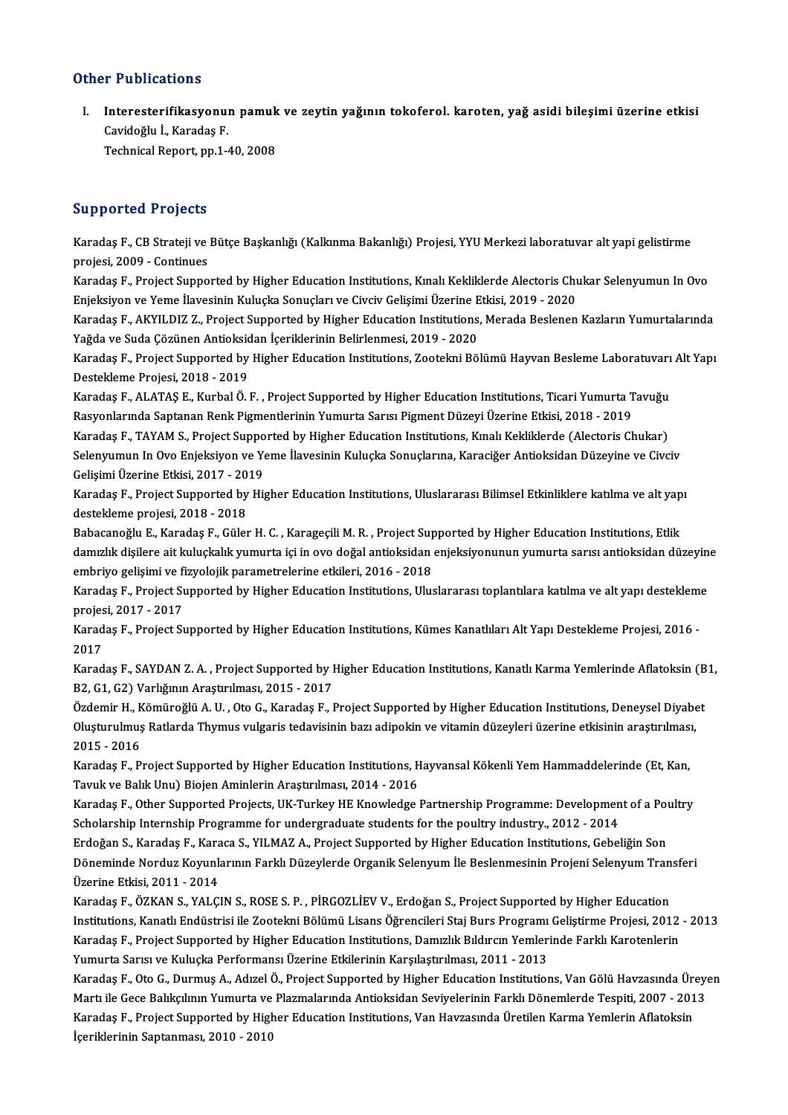### Other Publications

ther Publications<br>I. Interesterifikasyonun pamuk ve zeytin yağının tokoferol. karoten, yağ asidi bileşimi üzerine etkisi<br>. Gavideğlu İ. Karades E 1 - 1 Britalions<br>Interesterifikasyonu<br>Cavidoğlu İ., Karadaş F.<br>Technisel Benert nn 1 -Cavidoğlu İ., Karadaş F.<br>Technical Report, pp.1-40, 2008

#### Supported Projects

**Supported Projects**<br>Karadaş F., CB Strateji ve Bütçe Başkanlığı (Kalkınma Bakanlığı) Projesi, YYU Merkezi laboratuvar alt yapi gelistirme<br>PRRİSSİ 2000, *C*ontinues ed projects<br>Karadaş F., CB Strateji ve<br>projesi, 2009 - Continues<br>Karadas F., Project Sunno Karadaş F., CB Strateji ve Bütçe Başkanlığı (Kalkınma Bakanlığı) Projesi, YYU Merkezi laboratuvar alt yapi gelistirme<br>projesi, 2009 - Continues<br>Karadaş F., Project Supported by Higher Education Institutions, Kınalı Keklikl

projesi, 2009 - Continues<br>Karadaş F., Project Supported by Higher Education Institutions, Kınalı Kekliklerde Alectoris Chu<br>Enjeksiyon ve Yeme İlavesinin Kuluçka Sonuçları ve Civciv Gelişimi Üzerine Etkisi, 2019 - 2020<br>Kara Karadaş F., Project Supported by Higher Education Institutions, Kınalı Kekliklerde Alectoris Chukar Selenyumun In Ovo<br>Enjeksiyon ve Yeme İlavesinin Kuluçka Sonuçları ve Civciv Gelişimi Üzerine Etkisi, 2019 - 2020<br>Karadaş F

Enjeksiyon ve Yeme İlavesinin Kuluçka Sonuçları ve Civciv Gelişimi Üzerine Etkisi, 2019 - 2020<br>Karadaş F., AKYILDIZ Z., Project Supported by Higher Education Institutions, Merada Beslenen Kazların Yumurtalarında<br>Yağda ve S Karadaş F., AKYILDIZ Z., Project Supported by Higher Education Institutions, Merada Beslenen Kazların Yumurtalarında<br>Yağda ve Suda Çözünen Antioksidan İçeriklerinin Belirlenmesi, 2019 - 2020<br>Karadaş F., Project Supported b

Yağda ve Suda Çözünen Antioksid<br>Karadaş F., Project Supported by<br>Destekleme Projesi, 2018 - 2019<br>Karadas F., ALATAS F., Kurbal Ö. I Karadaş F., Project Supported by Higher Education Institutions, Zootekni Bölümü Hayvan Besleme Laboratuvarı<br>Destekleme Projesi, 2018 - 2019<br>Karadaş F., ALATAŞ E., Kurbal Ö. F. , Project Supported by Higher Education Instit

Destekleme Projesi, 2018 - 2019<br>Karadaş F., ALATAŞ E., Kurbal Ö. F. , Project Supported by Higher Education Institutions, Ticari Yumurta T<br>Rasyonlarında Saptanan Renk Pigmentlerinin Yumurta Sarısı Pigment Düzeyi Üzerine Et Karadaş F., ALATAŞ E., Kurbal Ö. F. , Project Supported by Higher Education Institutions, Ticari Yumurta Tavuğu<br>Rasyonlarında Saptanan Renk Pigmentlerinin Yumurta Sarısı Pigment Düzeyi Üzerine Etkisi, 2018 - 2019<br>Karadaş F

Rasyonlarında Saptanan Renk Pigmentlerinin Yumurta Sarısı Pigment Düzeyi Üzerine Etkisi, 2018 - 2019<br>Karadaş F., TAYAM S., Project Supported by Higher Education Institutions, Kınalı Kekliklerde (Alectoris Chukar)<br>Selenyumu Karadaş F., TAYAM S., Project Suppo<br>Selenyumun In Ovo Enjeksiyon ve Ye<br>Gelişimi Üzerine Etkisi, 2017 - 2019<br>Karadas E. Brejest Supported bu Hi Selenyumun In Ovo Enjeksiyon ve Yeme İlavesinin Kuluçka Sonuçlarına, Karaciğer Antioksidan Düzeyine ve Civciv<br>Gelişimi Üzerine Etkisi, 2017 - 2019<br>Karadaş F., Project Supported by Higher Education Institutions, Uluslararas

Gelişimi Üzerine Etkisi, 2017 - 2019<br>Karadaş F., Project Supported by Higher Education Institutions, Uluslararası Bilimsel Etkinliklere katılma ve alt yapı<br>destekleme projesi, 2018 - 2018 Karadaş F., Project Supported by Higher Education Institutions, Uluslararası Bilimsel Etkinliklere katılma ve alt yap<br>destekleme projesi, 2018 - 2018<br>Babacanoğlu E., Karadaş F., Güler H. C. , Karageçili M. R. , Project Sup

destekleme projesi, 2018 - 2018<br>Babacanoğlu E., Karadaş F., Güler H. C. , Karageçili M. R. , Project Supported by Higher Education Institutions, Etlik<br>damızlık dişilere ait kuluçkalık yumurta içi in ovo doğal antioksidan e Babacanoğlu E., Karadaş F., Güler H. C. , Karageçili M. R. , Project Sup<br>damızlık dişilere ait kuluçkalık yumurta içi in ovo doğal antioksidan<br>embriyo gelişimi ve fizyolojik parametrelerine etkileri, 2016 - 2018<br>Karadas E. damızlık dişilere ait kuluçkalık yumurta içi in ovo doğal antioksidan enjeksiyonunun yumurta sarısı antioksidan düzeyin<br>embriyo gelişimi ve fizyolojik parametrelerine etkileri, 2016 - 2018<br>Karadaş F., Project Supported by

embriyo gelişimi ve fi<br>Karadaş F., Project Su<br>projesi, 2017 - 2017<br>Karadas E., Project S. Karadaş F., Project Supported by Higher Education Institutions, Uluslararası toplantılara katılma ve alt yapı desteklem<br>projesi, 2017 - 2017<br>Karadaş F., Project Supported by Higher Education Institutions, Kümes Kanatlıları

projes<br>Karad<br>2017<br>Karad Karadaş F., Project Supported by Higher Education Institutions, Kümes Kanatlıları Alt Yapı Destekleme Projesi, 2016 -<br>2017<br>Karadaş F., SAYDAN Z. A. , Project Supported by Higher Education Institutions, Kanatlı Karma Yemler

2017<br>Karadaş F., SAYDAN Z. A. , Project Supported by Higher Education Institutions, Kanatlı Karma Yemlerinde Aflatoksin (B1,<br>B2, G1, G2) Varlığının Araştırılması, 2015 - 2017

Özdemir H., Kömüroğlü A.U., Oto G., Karadaş F., Project Supported by Higher Education Institutions, Deneysel Diyabet B2, G1, G2) Varlığının Araştırılması, 2015 - 2017<br>Özdemir H., Kömüroğlü A. U. , Oto G., Karadaş F., Project Supported by Higher Education Institutions, Deneysel Diyabe<br>Oluşturulmuş Ratlarda Thymus vulgaris tedavisinin bazı Özdemir H., K<br>Oluşturulmuş<br>2015 - 2016<br>Karadas E. B Oluşturulmuş Ratlarda Thymus vulgaris tedavisinin bazı adipokin ve vitamin düzeyleri üzerine etkisinin araştırılmas<br>2015 - 2016<br>Karadaş F., Project Supported by Higher Education Institutions, Hayvansal Kökenli Yem Hammadde

2015 - 2016<br>Karadaş F., Project Supported by Higher Education Institutions, Hayvansal Kökenli Yem Hammaddelerinde (Et, Kan,<br>Tavuk ve Balık Unu) Biojen Aminlerin Araştırılması, 2014 - 2016 Karadaş F., Project Supported by Higher Education Institutions, Hayvansal Kökenli Yem Hammaddelerinde (Et, Kan,<br>Tavuk ve Balık Unu) Biojen Aminlerin Araştırılması, 2014 - 2016<br>Karadaş F., Other Supported Projects, UK-Turke

Tavuk ve Balık Unu) Biojen Aminlerin Araştırılması, 2014 - 2016<br>Karadaş F., Other Supported Projects, UK-Turkey HE Knowledge Partnership Programme: Developmen<br>Scholarship Internship Programme for undergraduate students for Karadaş F., Other Supported Projects, UK-Turkey HE Knowledge Partnership Programme: Development of a Pou<br>Scholarship Internship Programme for undergraduate students for the poultry industry., 2012 - 2014<br>Erdoğan S., Karada

Scholarship Internship Programme for undergraduate students for the poultry industry., 2012 - 2014<br>Erdoğan S., Karadaş F., Karaca S., YILMAZ A., Project Supported by Higher Education Institutions, Gebeliğin Son<br>Döneminde N Erdoğan S., Karadaş F., Kara<br>Döneminde Norduz Koyunlı<br>Üzerine Etkisi, 2011 - 2014<br>Karadas E. ÖZKAN S. XALC Döneminde Norduz Koyunlarının Farklı Düzeylerde Organik Selenyum İle Beslenmesinin Projeni Selenyum Tran<br>Üzerine Etkisi, 2011 - 2014<br>Karadaş F., ÖZKAN S., YALÇIN S., ROSE S. P. , PİRGOZLİEV V., Erdoğan S., Project Supporte

Üzerine Etkisi, 2011 - 2014<br>Karadaş F., ÖZKAN S., YALÇIN S., ROSE S. P. , PİRGOZLİEV V., Erdoğan S., Project Supported by Higher Education<br>Institutions, Kanatlı Endüstrisi ile Zootekni Bölümü Lisans Öğrencileri Staj Burs P Karadaş F., ÖZKAN S., YALÇIN S., ROSE S. P. , PİRGOZLİEV V., Erdoğan S., Project Supported by Higher Education<br>Institutions, Kanatlı Endüstrisi ile Zootekni Bölümü Lisans Öğrencileri Staj Burs Programı Geliştirme Projesi, Institutions, Kanatlı Endüstrisi ile Zootekni Bölümü Lisans Öğrencileri Staj Burs Programı<br>Karadaş F., Project Supported by Higher Education Institutions, Damızlık Bıldırcın Yemler<br>Yumurta Sarısı ve Kuluçka Performansı Üze Karadaş F., Project Supported by Higher Education Institutions, Damızlık Bıldırcın Yemlerinde Farklı Karotenlerin<br>Yumurta Sarısı ve Kuluçka Performansı Üzerine Etkilerinin Karşılaştırılması, 2011 - 2013<br>Karadaş F., Oto G.,

Yumurta Sarısı ve Kuluçka Performansı Üzerine Etkilerinin Karşılaştırılması, 2011 - 2013<br>Karadaş F., Oto G., Durmuş A., Adızel Ö., Project Supported by Higher Education Institutions, Van Gölü Havzasında Ürey<br>Martı ile Gece Karadaş F., Oto G., Durmuş A., Adızel Ö., Project Supported by Higher Education Institutions, Van Gölü Havzasında Ür<br>Martı ile Gece Balıkçılının Yumurta ve Plazmalarında Antioksidan Seviyelerinin Farklı Dönemlerde Tespiti, Martı ile Gece Balıkçılının Yumurta ve Plazmalarında Antioksidan Seviyelerinin Farklı Dönemlerde Tespiti, 2007 - 2013<br>Karadaş F., Project Supported by Higher Education Institutions, Van Havzasında Üretilen Karma Yemlerin A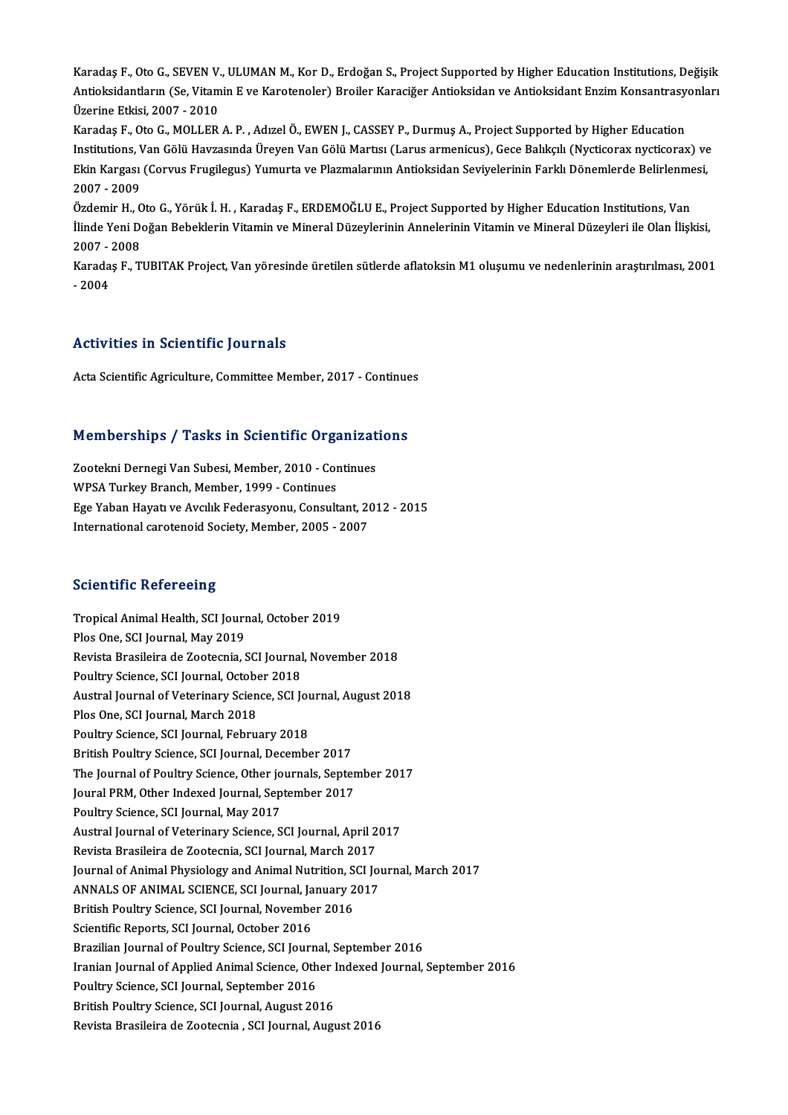Karadaş F., Oto G., SEVEN V., ULUMAN M., Kor D., Erdoğan S., Project Supported by Higher Education Institutions, Değişik Karadaş F., Oto G., SEVEN V., ULUMAN M., Kor D., Erdoğan S., Project Supported by Higher Education Institutions, Değişik<br>Antioksidantların (Se, Vitamin E ve Karotenoler) Broiler Karaciğer Antioksidan ve Antioksidant Enzim Üzerine Etkisi, 2007 - 2010<br>Karadaş F., Oto G., MOLLER A. P. , Adızel Ö., EWEN J., CASSEY P., Durmuş A., Project Supported by Higher Education Antioksidantların (Se, Vitamin E ve Karotenoler) Broiler Karaciğer Antioksidan ve Antioksidant Enzim Konsantrasy<br>Üzerine Etkisi, 2007 - 2010<br>Karadaş F., Oto G., MOLLER A. P. , Adızel Ö., EWEN J., CASSEY P., Durmuş A., Proj

Üzerine Etkisi, 2007 - 2010<br>Karadaş F., Oto G., MOLLER A. P. , Adızel Ö., EWEN J., CASSEY P., Durmuş A., Project Supported by Higher Education<br>Institutions, Van Gölü Havzasında Üreyen Van Gölü Martısı (Larus armenicus), Ge Karadaş F., Oto G., MOLLER A. P. , Adızel Ö., EWEN J., CASSEY P., Durmuş A., Project Supported by Higher Education<br>Institutions, Van Gölü Havzasında Üreyen Van Gölü Martısı (Larus armenicus), Gece Balıkçılı (Nycticorax nyc Institutions, <mark>V</mark><br>Ekin Kargası<br>2007 - 2009<br>Özdemir H Ekin Kargası (Corvus Frugilegus) Yumurta ve Plazmalarının Antioksidan Seviyelerinin Farklı Dönemlerde Belirlenmesi,<br>2007 - 2009

İlinde Yeni Doğan Bebeklerin Vitamin ve Mineral Düzeylerinin Annelerinin Vitamin ve Mineral Düzeyleri ile Olan İlişkisi,<br>2007 - 2008 Özdemir H., Oto G., Yörük İ. H., Karadaş F., ERDEMOĞLU E., Project Supported by Higher Education Institutions, Van İlinde Yeni Doğan Bebeklerin Vitamin ve Mineral Düzeylerinin Annelerinin Vitamin ve Mineral Düzeyleri ile Olan İlişkisi,<br>2007 - 2008<br>Karadaş F., TUBITAK Project, Van yöresinde üretilen sütlerde aflatoksin M1 oluşumu ve ned

2007 - <br>Karada<br>- 2004

# Activities in Scientific Journals

Acta Scientific Agriculture, Committee Member, 2017 - Continues

# Acta Scientific Agriculture, Committee Member, 2017 - Continue<br>Memberships / Tasks in Scientific Organizations

Memberships / Tasks in Scientific Organizat<br>Zootekni Dernegi Van Subesi, Member, 2010 - Continues<br>WBSA Turkey Pranch Member 1999 - Continues Zootekni Dernegi Van Subesi, Member, 2010 - Continues<br>WPSA Turkey Branch, Member, 1999 - Continues Zootekni Dernegi Van Subesi, Member, 2010 - Continues<br>WPSA Turkey Branch, Member, 1999 - Continues<br>Ege Yaban Hayatı ve Avcılık Federasyonu, Consultant, 2012 - 2015<br>International sereteneid Sosisty, Member, 2005 - 2007 WPSA Turkey Branch, Member, 1999 - Continues<br>Ege Yaban Hayatı ve Avcılık Federasyonu, Consultant, 21<br>International carotenoid Society, Member, 2005 - 2007 International carotenoid Society, Member, 2005 - 2007<br>Scientific Refereeing

Scientific Refereeing<br>Tropical Animal Health, SCI Journal, October 2019<br>Plas One SCI Journal May 2019 Perentific Referencing<br>Tropical Animal Health, SCI Journ<br>Plos One, SCI Journal, May 2019<br>Revista Brasileira da Zeaternia S Tropical Animal Health, SCI Journal, October 2019<br>Plos One, SCI Journal, May 2019<br>Revista Brasileira de Zootecnia, SCI Journal, November 2018<br>Poultry Scionce, SCI Journal, October 2018 Plos One, SCI Journal, May 2019<br>Revista Brasileira de Zootecnia, SCI Journal<br>Poultry Science, SCI Journal, October 2018<br>Austral Journal of Veterinary Science, SCI Is Revista Brasileira de Zootecnia, SCI Journal, November 2018<br>Poultry Science, SCI Journal, October 2018<br>Austral Journal of Veterinary Science, SCI Journal, August 2018<br>Ples One, SCI Journal, March 2019 Poultry Science, SCI Journal, October 2018<br>Austral Journal of Veterinary Science, SCI Jo<br>Plos One, SCI Journal, March 2018<br>Poultry Science, SCI Journal, February 2018 Austral Journal of Veterinary Science, SCI Jou<br>Plos One, SCI Journal, March 2018<br>Poultry Science, SCI Journal, February 2018<br>Pritish Poultry Science, SCI Journal, Decembe British Poultry Science, SCI Journal, December 2017 Poultry Science, SCI Journal, February 2018<br>British Poultry Science, SCI Journal, December 2017<br>The Journal of Poultry Science, Other journals, September 2017<br>Journal PBM, Other Indexed Journal, September 2017 British Poultry Science, SCI Journal, December 2017<br>The Journal of Poultry Science, Other journals, Septer<br>Joural PRM, Other Indexed Journal, September 2017<br>Poultry Science, SCI Journal, May 2017 The Journal of Poultry Science, Other jo<br>Joural PRM, Other Indexed Journal, Sep<br>Poultry Science, SCI Journal, May 2017<br>Austral Journal of Veterinary Science, S Joural PRM, Other Indexed Journal, September 2017<br>Poultry Science, SCI Journal, May 2017<br>Austral Journal of Veterinary Science, SCI Journal, April 2017<br>Povista Presileira de Zeetesnia, SCI Journal, Marsh 2017 Poultry Science, SCI Journal, May 2017<br>Austral Journal of Veterinary Science, SCI Journal, April 2<br>Revista Brasileira de Zootecnia, SCI Journal, March 2017<br>Journal of Animal Physiology and Animal Nutrition, SCI Jo Revista Brasileira de Zootecnia, SCI Journal, March 2017<br>Journal of Animal Physiology and Animal Nutrition, SCI Journal, March 2017 Revista Brasileira de Zootecnia, SCI Journal, March 2017<br>Journal of Animal Physiology and Animal Nutrition, SCI Journal, January<br>2017<br>Pritish Boultry Scionce, SCI Journal, November 2016 Journal of Animal Physiology and Animal Nutrition, S<br>ANNALS OF ANIMAL SCIENCE, SCI Journal, January 2<br>British Poultry Science, SCI Journal, November 2016<br>Scientifie Benerts, SCI Journal, October 2016 ANNALS OF ANIMAL SCIENCE, SCI Journal, Ja<br>British Poultry Science, SCI Journal, Novembe<br>Scientific Reports, SCI Journal, October 2016<br>Presilien Journal of Boultry Science, SCI Journ British Poultry Science, SCI Journal, November 2016<br>Scientific Reports, SCI Journal, October 2016<br>Brazilian Journal of Poultry Science, SCI Journal, September 2016<br>Iranian Journal of Applied Animal Science, Other Indeved J Scientific Reports, SCI Journal, October 2016<br>Brazilian Journal of Poultry Science, SCI Journal, September 2016<br>Iranian Journal of Applied Animal Science, Other Indexed Journal, September 2016<br>Poultry Science, SCI Journal, Brazilian Journal of Poultry Science, SCI Journal<br>Iranian Journal of Applied Animal Science, Oth<br>Poultry Science, SCI Journal, September 2016<br>Pritish Poultry Science, SCI Journal, August 20 British Poultry Science, SCI Journal, August 2016 Revista Brasileira de Zootecnia , SCI Journal, August 2016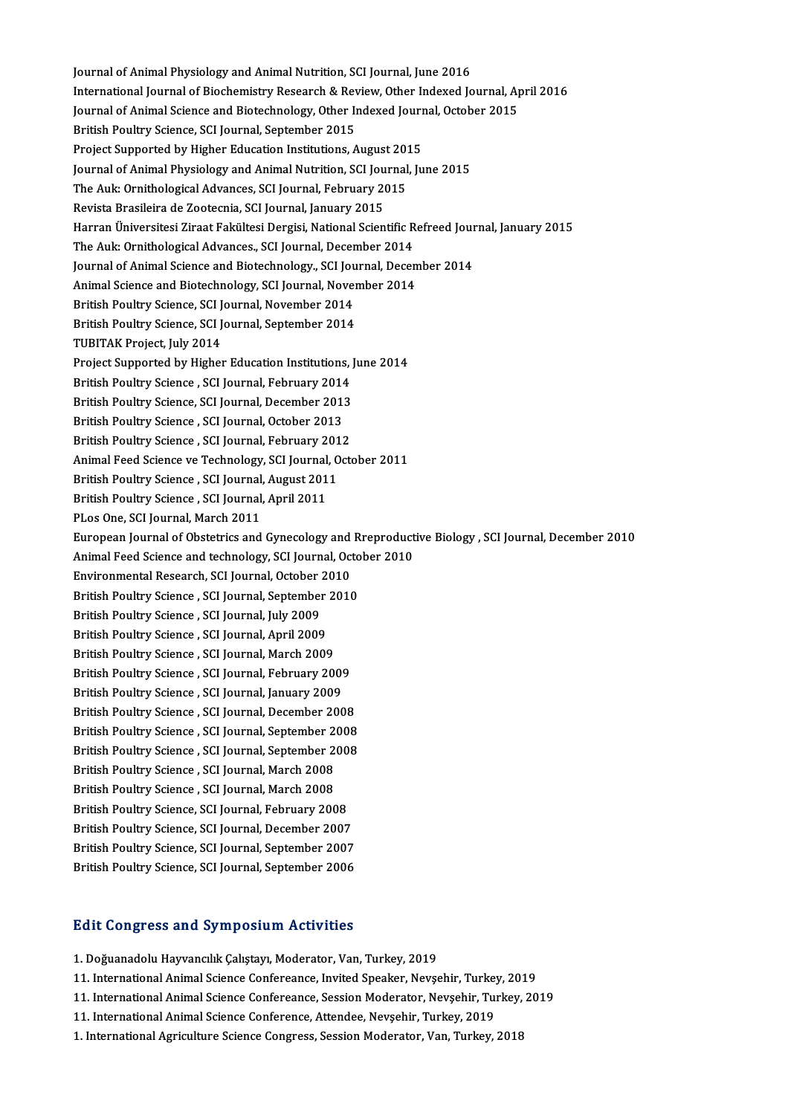Journal of Animal Physiology and Animal Nutrition, SCI Journal, June 2016<br>International Journal of Biochemistry Bessensh & Beyjou, Other Indexed Is International Journal of Biochemistry Research & Review, Other Indexed Journal, April 2016<br>Journal of Animal Science and Biotechnology, Other Indexed Journal, October 2015 Journal of Animal Physiology and Animal Nutrition, SCI Journal, June 2016<br>International Journal of Biochemistry Research & Review, Other Indexed Journal, Ap<br>Journal of Animal Science and Biotechnology, Other Indexed Journa British Poultry Science, SCI Journal, September 2015 Journal of Animal Science and Biotechnology, Other Indexed Journ<br>British Poultry Science, SCI Journal, September 2015<br>Project Supported by Higher Education Institutions, August 2015<br>Journal of Animal Physiology and Animal Journal of Animal Physiology and Animal Nutrition, SCI Journal, June 2015 Project Supported by Higher Education Institutions, August 201<br>Journal of Animal Physiology and Animal Nutrition, SCI Journal<br>The Auk: Ornithological Advances, SCI Journal, February 2015<br>Povista Prasileira de Zeoternia, SC The Auk: Ornithological Advances, SCI Journal, February 2015<br>Revista Brasileira de Zootecnia, SCI Journal, January 2015 Harran Üniversitesi Ziraat Fakültesi Dergisi, National Scientific Refreed Journal, January 2015 Revista Brasileira de Zootecnia, SCI Journal, January 2015<br>Harran Üniversitesi Ziraat Fakültesi Dergisi, National Scientific R<br>The Auk: Ornithological Advances., SCI Journal, December 2014<br>Journal of Animal Science and Bie Harran Üniversitesi Ziraat Fakültesi Dergisi, National Scientific Refreed Jour<br>The Auk: Ornithological Advances., SCI Journal, December 2014<br>Journal of Animal Science and Biotechnology., SCI Journal, December 2014<br>Animal S The Auk: Ornithological Advances., SCI Journal, December 2014<br>Journal of Animal Science and Biotechnology., SCI Journal, Decen<br>Animal Science and Biotechnology, SCI Journal, November 2014<br>Pritish Boultry Science, SCI Journ Journal of Animal Science and Biotechnology., SCI Jou<br>Animal Science and Biotechnology, SCI Journal, Novem<br>British Poultry Science, SCI Journal, November 2014<br>British Poultry Science, SCI Journal, Sontamber 2014 Animal Science and Biotechnology, SCI Journal, Nover<br>British Poultry Science, SCI Journal, November 2014<br>British Poultry Science, SCI Journal, September 2014<br>TUBITAK Broject, July 2014 British Poultry Science, SCI J<br>British Poultry Science, SCI J<br>TUBITAK Project, July 2014<br>Project Supported by Higher British Poultry Science, SCI Journal, September 2014<br>TUBITAK Project, July 2014<br>Project Supported by Higher Education Institutions, June 2014<br>British Boultry Science, SCI Journal, February 2014 TUBITAK Project, July 2014<br>Project Supported by Higher Education Institutions,<br>British Poultry Science , SCI Journal, February 2014<br>Pritish Poultry Science, SCI Journal, Pesember 2012 Project Supported by Higher Education Institutions, J<br>British Poultry Science , SCI Journal, February 2014<br>British Poultry Science, SCI Journal, December 2013<br>British Boultry Science, SCI Journal, October 2013 British Poultry Science , SCI Journal, February 2014<br>British Poultry Science, SCI Journal, December 2013<br>British Poultry Science , SCI Journal, October 2013 British Poultry Science, SCI Journal, December 2013<br>British Poultry Science , SCI Journal, October 2013<br>British Poultry Science , SCI Journal, February 2012<br>Animal Food Science ve Technology, SCI Journal, Octo Animal Feed Science ve Technology, SCI Journal, October 2011<br>British Poultry Science , SCI Journal, August 2011 British Poultry Science , SCI Journal, February 201<br>Animal Feed Science ve Technology, SCI Journal, O<br>British Poultry Science , SCI Journal, August 2011<br>Pritish Poultry Science , SCI Journal, Anril 2011 Animal Feed Science ve Technology, SCI Journal,<br>British Poultry Science , SCI Journal, August 201<br>British Poultry Science , SCI Journal, April 2011<br>BLes One SCI Journal, March 2011 British Poultry Science , SCI Journal,<br>British Poultry Science , SCI Journal,<br>PLos One, SCI Journal, March 2011<br>European Journal of Obstatrics and British Poultry Science , SCI Journal, April 2011<br>PLos One, SCI Journal, March 2011<br>European Journal of Obstetrics and Gynecology and Rreproductive Biology , SCI Journal, December 2010<br>Animal Eeed Science and technology, S PLos One, SCI Journal, March 2011<br>European Journal of Obstetrics and Gynecology and Rreproduct<br>Animal Feed Science and technology, SCI Journal, October 2010<br>Environmental Besearch, SCI Journal, October 2010 European Journal of Obstetrics and Gynecology and<br>Animal Feed Science and technology, SCI Journal, October<br>Environmental Research, SCI Journal, October 2010<br>Pritish Poultry Science, SCI Journal, Sentember 2010 Animal Feed Science and technology, SCI Journal, October 2010<br>Environmental Research, SCI Journal, October 2010<br>British Poultry Science , SCI Journal, September 2010 Environmental Research, SCI Journal, October<br>British Poultry Science , SCI Journal, September<br>British Poultry Science , SCI Journal, July 2009<br>British Poultry Science , SCI Journal, April 2009 British Poultry Science , SCI Journal, September<br>British Poultry Science , SCI Journal, July 2009<br>British Poultry Science , SCI Journal, April 2009<br>British Poultry Science , SCI Journal, Marsh 2009 British Poultry Science , SCI Journal, July 2009<br>British Poultry Science , SCI Journal, April 2009<br>British Poultry Science , SCI Journal, March 2009<br>British Poultry Science , SCI Journal, Eshruary 20 British Poultry Science , SCI Journal, April 2009<br>British Poultry Science , SCI Journal, March 2009<br>British Poultry Science , SCI Journal, February 2009<br>British Boultry Science , SCI Journal, Jonuary 2009 British Poultry Science , SCI Journal, March 2009<br>British Poultry Science , SCI Journal, February 2009<br>British Poultry Science , SCI Journal, January 2009<br>British Poultry Science , SCI Journal, Desember 200 British Poultry Science , SCI Journal, February 2009<br>British Poultry Science , SCI Journal, January 2009<br>British Poultry Science , SCI Journal, December 2008<br>British Poultry Science , SCI Journal, Sontember 2008 British Poultry Science , SCI Journal, January 2009<br>British Poultry Science , SCI Journal, December 2008<br>British Poultry Science , SCI Journal, September 2008<br>British Poultry Science , SCI Journal, September 2009 British Poultry Science , SCI Journal, December 2008<br>British Poultry Science , SCI Journal, September 2008<br>British Poultry Science , SCI Journal, September 2008<br>British Poultry Science , SCI Journal, March 2009 British Poultry Science , SCI Journal, September 2<br>British Poultry Science , SCI Journal, September 2<br>British Poultry Science , SCI Journal, March 2008<br>British Poultry Science , SCI Journal, March 2009 British Poultry Science , SCI Journal, September 2<br>British Poultry Science , SCI Journal, March 2008<br>British Poultry Science , SCI Journal, March 2008<br>British Poultry Science, SCI Journal, Eebruary 200 British Poultry Science , SCI Journal, March 2008<br>British Poultry Science , SCI Journal, March 2008<br>British Poultry Science, SCI Journal, February 2008<br>British Poultry Science, SCI Journal, Desember 2007 British Poultry Science , SCI Journal, March 2008<br>British Poultry Science, SCI Journal, February 2008<br>British Poultry Science, SCI Journal, December 2007<br>British Boultry Science, SCI Journal, September 2007 British Poultry Science, SCI Journal, February 2008<br>British Poultry Science, SCI Journal, December 2007<br>British Poultry Science, SCI Journal, September 2006<br>British Poultry Science, SCI Journal, September 2006 British Poultry Science, SCI Journal, December 2007<br>British Poultry Science, SCI Journal, September 2007<br>British Poultry Science, SCI Journal, September 2006

British Poultry Science, SCI Journal, September 2006<br>Edit Congress and Symposium Activities

1. Doğuanadolu Hayvancılık Çalıştayı, Moderator, Van, Turkey, 2019

- 11. International Animal Science Confereance, Invited Speaker, Nevşehir, Turkey, 2019 11. International Animal Science Confereance, Invited Speaker, Nevşehir, Turkey,<br>11. International Animal Science Confereance, Session Moderator, Nevşehir, Tur<br>11. International Animal Science Conference, Attendee, Nevşehi
- 1. Doğuanadolu Hayvancılık Çalıştayı, Moderator, Van, Turkey, 2019<br>11. International Animal Science Confereance, Invited Speaker, Nevşehir, Turkey, 2019<br>11. International Animal Science Confereance, Session Moderator, Nevş 11. International Animal Science Confereance, Session Moderator, Nevşehir, Turkey,<br>11. International Animal Science Conference, Attendee, Nevşehir, Turkey, 2019<br>1. International Agriculture Science Congress, Session Modera
- 
-